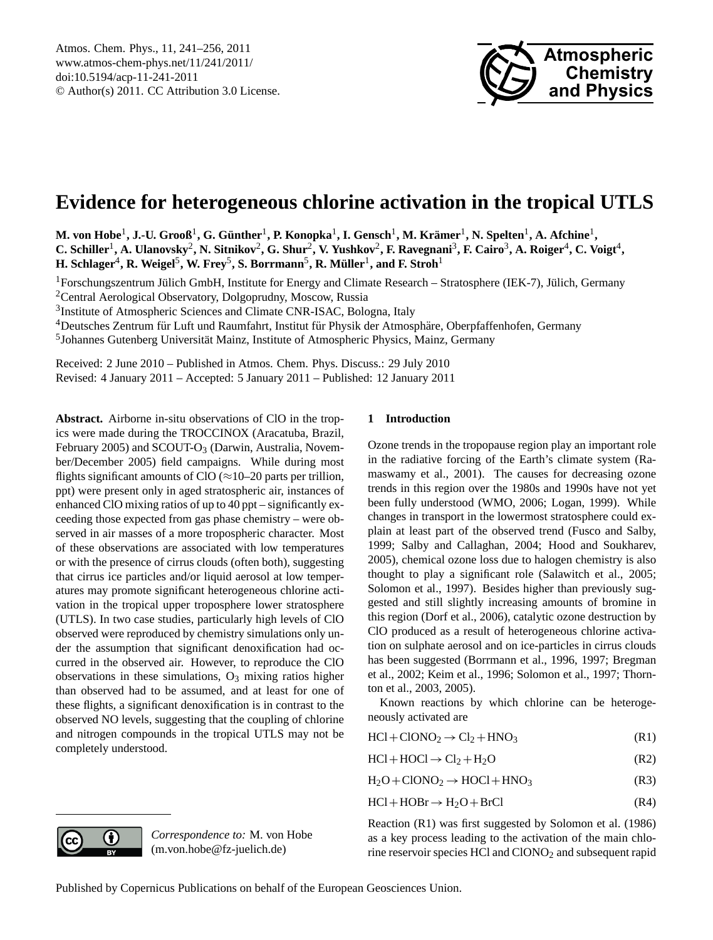

# <span id="page-0-0"></span>**Evidence for heterogeneous chlorine activation in the tropical UTLS**

**M. von Hobe**<sup>1</sup> **, J.-U. Grooß**<sup>1</sup> **, G. Gunther ¨** 1 **, P. Konopka**<sup>1</sup> **, I. Gensch**<sup>1</sup> **, M. Kramer ¨** 1 **, N. Spelten**<sup>1</sup> **, A. Afchine**<sup>1</sup> **,** C. Schiller<sup>1</sup>, A. Ulanovsky<sup>2</sup>, N. Sitnikov<sup>2</sup>, G. Shur<sup>2</sup>, V. Yushkov<sup>2</sup>, F. Ravegnani<sup>3</sup>, F. Cairo<sup>3</sup>, A. Roiger<sup>4</sup>, C. Voigt<sup>4</sup>,  $\bf H.$  Schlager<sup>4</sup>, R. Weigel<sup>5</sup>, W. Frey<sup>5</sup>, S. Borrmann<sup>5</sup>, R. Müller<sup>1</sup>, and F. Stroh<sup>1</sup>

 ${}^{1}$ Forschungszentrum Jülich GmbH, Institute for Energy and Climate Research – Stratosphere (IEK-7), Jülich, Germany

<sup>2</sup>Central Aerological Observatory, Dolgoprudny, Moscow, Russia

<sup>3</sup>Institute of Atmospheric Sciences and Climate CNR-ISAC, Bologna, Italy

<sup>4</sup>Deutsches Zentrum für Luft und Raumfahrt, Institut für Physik der Atmosphäre, Oberpfaffenhofen, Germany

<sup>5</sup>Johannes Gutenberg Universität Mainz, Institute of Atmospheric Physics, Mainz, Germany

Received: 2 June 2010 – Published in Atmos. Chem. Phys. Discuss.: 29 July 2010

Revised: 4 January 2011 – Accepted: 5 January 2011 – Published: 12 January 2011

**Abstract.** Airborne in-situ observations of ClO in the tropics were made during the TROCCINOX (Aracatuba, Brazil, February 2005) and SCOUT-O<sub>3</sub> (Darwin, Australia, November/December 2005) field campaigns. While during most flights significant amounts of ClO ( $\approx$ 10–20 parts per trillion, ppt) were present only in aged stratospheric air, instances of enhanced ClO mixing ratios of up to 40 ppt – significantly exceeding those expected from gas phase chemistry – were observed in air masses of a more tropospheric character. Most of these observations are associated with low temperatures or with the presence of cirrus clouds (often both), suggesting that cirrus ice particles and/or liquid aerosol at low temperatures may promote significant heterogeneous chlorine activation in the tropical upper troposphere lower stratosphere (UTLS). In two case studies, particularly high levels of ClO observed were reproduced by chemistry simulations only under the assumption that significant denoxification had occurred in the observed air. However, to reproduce the ClO observations in these simulations,  $O_3$  mixing ratios higher than observed had to be assumed, and at least for one of these flights, a significant denoxification is in contrast to the observed NO levels, suggesting that the coupling of chlorine and nitrogen compounds in the tropical UTLS may not be completely understood.

# **1 Introduction**

Ozone trends in the tropopause region play an important role in the radiative forcing of the Earth's climate system (Ramaswamy et al., 2001). The causes for decreasing ozone trends in this region over the 1980s and 1990s have not yet been fully understood (WMO, 2006; Logan, 1999). While changes in transport in the lowermost stratosphere could explain at least part of the observed trend (Fusco and Salby, 1999; Salby and Callaghan, 2004; Hood and Soukharev, 2005), chemical ozone loss due to halogen chemistry is also thought to play a significant role (Salawitch et al., 2005; Solomon et al., 1997). Besides higher than previously suggested and still slightly increasing amounts of bromine in this region (Dorf et al., 2006), catalytic ozone destruction by ClO produced as a result of heterogeneous chlorine activation on sulphate aerosol and on ice-particles in cirrus clouds has been suggested (Borrmann et al., 1996, 1997; Bregman et al., 2002; Keim et al., 1996; Solomon et al., 1997; Thornton et al., 2003, 2005).

Known reactions by which chlorine can be heterogeneously activated are

| $HCl + ClONO_2 \rightarrow Cl_2 + HNO_3$ | (R1) |
|------------------------------------------|------|
|                                          |      |

- $HCl + HOCl \rightarrow Cl_2 + H_2O$  (R2)
- $H_2O + ClONO_2 \rightarrow HOCl + HNO_3$  (R3)
- $HCl + HOBr \rightarrow H_2O + BrCl$  (R4)

Reaction (R1) was first suggested by Solomon et al. (1986) as a key process leading to the activation of the main chlorine reservoir species HCl and ClONO<sup>2</sup> and subsequent rapid



*Correspondence to:* M. von Hobe (m.von.hobe@fz-juelich.de)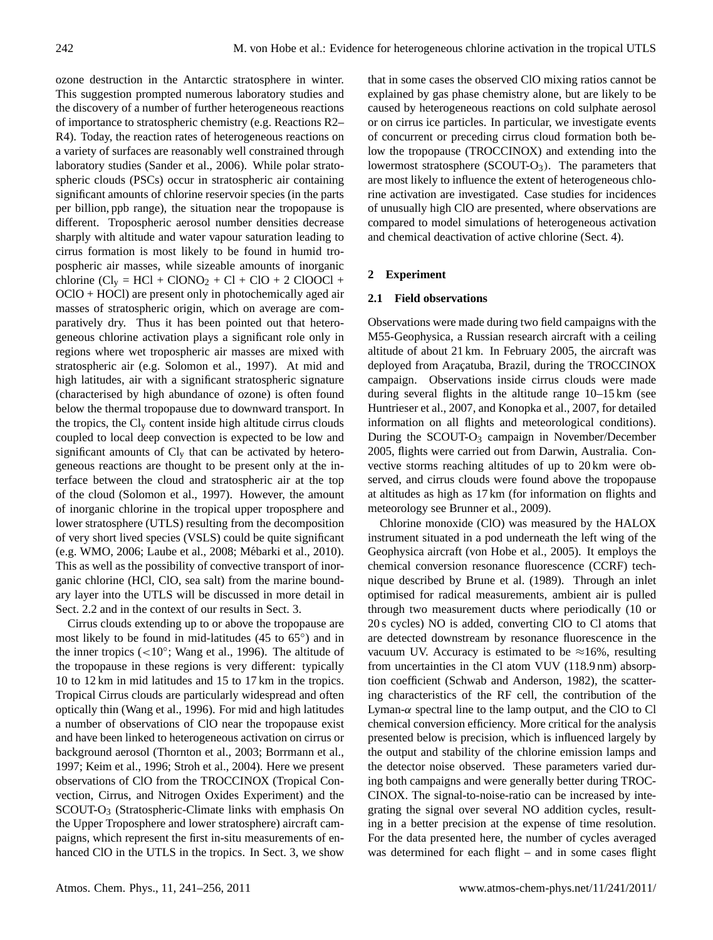ozone destruction in the Antarctic stratosphere in winter. This suggestion prompted numerous laboratory studies and the discovery of a number of further heterogeneous reactions of importance to stratospheric chemistry (e.g. Reactions R2– R4). Today, the reaction rates of heterogeneous reactions on a variety of surfaces are reasonably well constrained through laboratory studies (Sander et al., 2006). While polar stratospheric clouds (PSCs) occur in stratospheric air containing significant amounts of chlorine reservoir species (in the parts per billion, ppb range), the situation near the tropopause is different. Tropospheric aerosol number densities decrease sharply with altitude and water vapour saturation leading to cirrus formation is most likely to be found in humid tropospheric air masses, while sizeable amounts of inorganic chlorine  $(Cl<sub>y</sub> = HCl + ClONO<sub>2</sub> + Cl + ClO + 2 ClOOCl +$ OClO + HOCl) are present only in photochemically aged air masses of stratospheric origin, which on average are comparatively dry. Thus it has been pointed out that heterogeneous chlorine activation plays a significant role only in regions where wet tropospheric air masses are mixed with stratospheric air (e.g. Solomon et al., 1997). At mid and high latitudes, air with a significant stratospheric signature (characterised by high abundance of ozone) is often found below the thermal tropopause due to downward transport. In the tropics, the  $Cl_v$  content inside high altitude cirrus clouds coupled to local deep convection is expected to be low and significant amounts of  $Cl<sub>v</sub>$  that can be activated by heterogeneous reactions are thought to be present only at the interface between the cloud and stratospheric air at the top of the cloud (Solomon et al., 1997). However, the amount of inorganic chlorine in the tropical upper troposphere and lower stratosphere (UTLS) resulting from the decomposition of very short lived species (VSLS) could be quite significant (e.g. WMO, 2006; Laube et al., 2008; Mébarki et al., 2010). This as well as the possibility of convective transport of inorganic chlorine (HCl, ClO, sea salt) from the marine boundary layer into the UTLS will be discussed in more detail in Sect. 2.2 and in the context of our results in Sect. 3.

Cirrus clouds extending up to or above the tropopause are most likely to be found in mid-latitudes (45 to 65◦ ) and in the inner tropics  $(<10°$ ; Wang et al., 1996). The altitude of the tropopause in these regions is very different: typically 10 to 12 km in mid latitudes and 15 to 17 km in the tropics. Tropical Cirrus clouds are particularly widespread and often optically thin (Wang et al., 1996). For mid and high latitudes a number of observations of ClO near the tropopause exist and have been linked to heterogeneous activation on cirrus or background aerosol (Thornton et al., 2003; Borrmann et al., 1997; Keim et al., 1996; Stroh et al., 2004). Here we present observations of ClO from the TROCCINOX (Tropical Convection, Cirrus, and Nitrogen Oxides Experiment) and the SCOUT-O<sup>3</sup> (Stratospheric-Climate links with emphasis On the Upper Troposphere and lower stratosphere) aircraft campaigns, which represent the first in-situ measurements of enhanced ClO in the UTLS in the tropics. In Sect. 3, we show that in some cases the observed ClO mixing ratios cannot be explained by gas phase chemistry alone, but are likely to be caused by heterogeneous reactions on cold sulphate aerosol or on cirrus ice particles. In particular, we investigate events of concurrent or preceding cirrus cloud formation both below the tropopause (TROCCINOX) and extending into the lowermost stratosphere (SCOUT-O<sub>3</sub>). The parameters that are most likely to influence the extent of heterogeneous chlorine activation are investigated. Case studies for incidences of unusually high ClO are presented, where observations are compared to model simulations of heterogeneous activation and chemical deactivation of active chlorine (Sect. 4).

## **2 Experiment**

#### **2.1 Field observations**

Observations were made during two field campaigns with the M55-Geophysica, a Russian research aircraft with a ceiling altitude of about 21 km. In February 2005, the aircraft was deployed from Araçatuba, Brazil, during the TROCCINOX campaign. Observations inside cirrus clouds were made during several flights in the altitude range 10–15 km (see Huntrieser et al., 2007, and Konopka et al., 2007, for detailed information on all flights and meteorological conditions). During the SCOUT-O<sub>3</sub> campaign in November/December 2005, flights were carried out from Darwin, Australia. Convective storms reaching altitudes of up to 20 km were observed, and cirrus clouds were found above the tropopause at altitudes as high as 17 km (for information on flights and meteorology see Brunner et al., 2009).

Chlorine monoxide (ClO) was measured by the HALOX instrument situated in a pod underneath the left wing of the Geophysica aircraft (von Hobe et al., 2005). It employs the chemical conversion resonance fluorescence (CCRF) technique described by Brune et al. (1989). Through an inlet optimised for radical measurements, ambient air is pulled through two measurement ducts where periodically (10 or 20 s cycles) NO is added, converting ClO to Cl atoms that are detected downstream by resonance fluorescence in the vacuum UV. Accuracy is estimated to be  $\approx 16\%$ , resulting from uncertainties in the Cl atom VUV (118.9 nm) absorption coefficient (Schwab and Anderson, 1982), the scattering characteristics of the RF cell, the contribution of the Lyman- $\alpha$  spectral line to the lamp output, and the ClO to Cl chemical conversion efficiency. More critical for the analysis presented below is precision, which is influenced largely by the output and stability of the chlorine emission lamps and the detector noise observed. These parameters varied during both campaigns and were generally better during TROC-CINOX. The signal-to-noise-ratio can be increased by integrating the signal over several NO addition cycles, resulting in a better precision at the expense of time resolution. For the data presented here, the number of cycles averaged was determined for each flight – and in some cases flight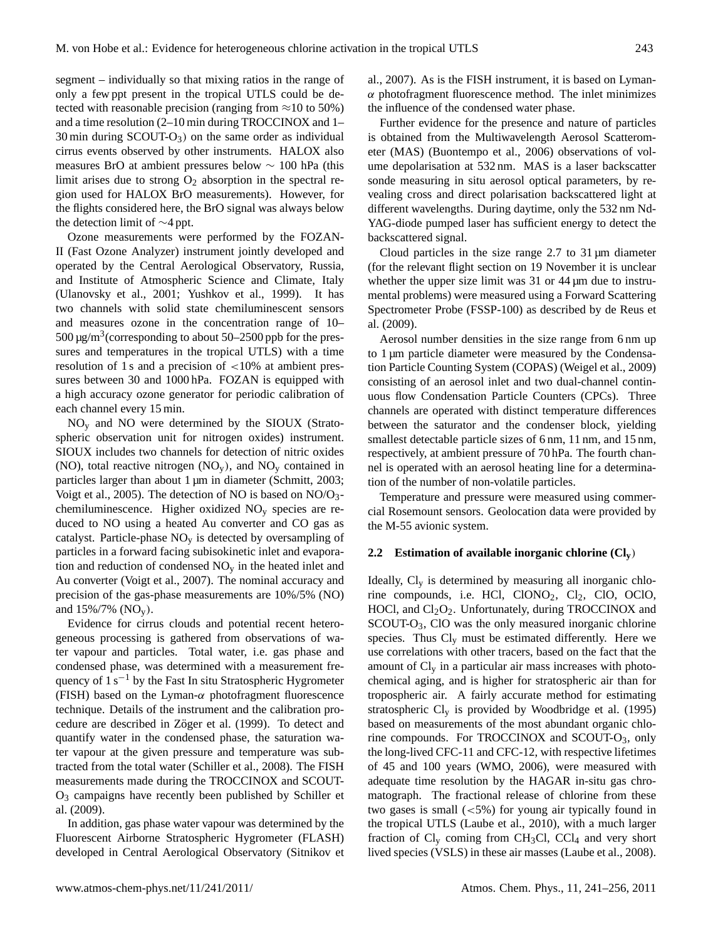segment – individually so that mixing ratios in the range of only a few ppt present in the tropical UTLS could be detected with reasonable precision (ranging from  $\approx$ 10 to 50%) and a time resolution (2–10 min during TROCCINOX and 1–  $30 \text{ min during SCOUT-O<sub>3</sub>}$  on the same order as individual cirrus events observed by other instruments. HALOX also measures BrO at ambient pressures below ∼ 100 hPa (this limit arises due to strong  $O_2$  absorption in the spectral region used for HALOX BrO measurements). However, for the flights considered here, the BrO signal was always below the detection limit of ∼4 ppt.

Ozone measurements were performed by the FOZAN-II (Fast Ozone Analyzer) instrument jointly developed and operated by the Central Aerological Observatory, Russia, and Institute of Atmospheric Science and Climate, Italy (Ulanovsky et al., 2001; Yushkov et al., 1999). It has two channels with solid state chemiluminescent sensors and measures ozone in the concentration range of 10–  $500 \,\mathrm{\upmu g/m^3}$  (corresponding to about 50–2500 ppb for the pressures and temperatures in the tropical UTLS) with a time resolution of 1 s and a precision of <10% at ambient pressures between 30 and 1000 hPa. FOZAN is equipped with a high accuracy ozone generator for periodic calibration of each channel every 15 min.

 $NO<sub>y</sub>$  and NO were determined by the SIOUX (Stratospheric observation unit for nitrogen oxides) instrument. SIOUX includes two channels for detection of nitric oxides (NO), total reactive nitrogen  $(NO_v)$ , and  $NO_v$  contained in particles larger than about 1 µm in diameter (Schmitt, 2003; Voigt et al., 2005). The detection of NO is based on  $NO/O<sub>3</sub>$ chemiluminescence. Higher oxidized NO<sup>y</sup> species are reduced to NO using a heated Au converter and CO gas as catalyst. Particle-phase  $NO<sub>v</sub>$  is detected by oversampling of particles in a forward facing subisokinetic inlet and evaporation and reduction of condensed  $NO<sub>v</sub>$  in the heated inlet and Au converter (Voigt et al., 2007). The nominal accuracy and precision of the gas-phase measurements are 10%/5% (NO) and  $15\%/7\%$  (NO<sub>v</sub>).

Evidence for cirrus clouds and potential recent heterogeneous processing is gathered from observations of water vapour and particles. Total water, i.e. gas phase and condensed phase, was determined with a measurement frequency of  $1 \text{ s}^{-1}$  by the Fast In situ Stratospheric Hygrometer (FISH) based on the Lyman- $\alpha$  photofragment fluorescence technique. Details of the instrument and the calibration procedure are described in Zöger et al. (1999). To detect and quantify water in the condensed phase, the saturation water vapour at the given pressure and temperature was subtracted from the total water (Schiller et al., 2008). The FISH measurements made during the TROCCINOX and SCOUT-O<sup>3</sup> campaigns have recently been published by Schiller et al. (2009).

In addition, gas phase water vapour was determined by the Fluorescent Airborne Stratospheric Hygrometer (FLASH) developed in Central Aerological Observatory (Sitnikov et al., 2007). As is the FISH instrument, it is based on Lyman- $\alpha$  photofragment fluorescence method. The inlet minimizes the influence of the condensed water phase.

Further evidence for the presence and nature of particles is obtained from the Multiwavelength Aerosol Scatterometer (MAS) (Buontempo et al., 2006) observations of volume depolarisation at 532 nm. MAS is a laser backscatter sonde measuring in situ aerosol optical parameters, by revealing cross and direct polarisation backscattered light at different wavelengths. During daytime, only the 532 nm Nd-YAG-diode pumped laser has sufficient energy to detect the backscattered signal.

Cloud particles in the size range 2.7 to 31 µm diameter (for the relevant flight section on 19 November it is unclear whether the upper size limit was 31 or 44  $\mu$ m due to instrumental problems) were measured using a Forward Scattering Spectrometer Probe (FSSP-100) as described by de Reus et al. (2009).

Aerosol number densities in the size range from 6 nm up to 1 µm particle diameter were measured by the Condensation Particle Counting System (COPAS) (Weigel et al., 2009) consisting of an aerosol inlet and two dual-channel continuous flow Condensation Particle Counters (CPCs). Three channels are operated with distinct temperature differences between the saturator and the condenser block, yielding smallest detectable particle sizes of 6 nm, 11 nm, and 15 nm, respectively, at ambient pressure of 70 hPa. The fourth channel is operated with an aerosol heating line for a determination of the number of non-volatile particles.

Temperature and pressure were measured using commercial Rosemount sensors. Geolocation data were provided by the M-55 avionic system.

#### **2.2 Estimation of available inorganic chlorine (Cly**)

Ideally,  $Cl<sub>y</sub>$  is determined by measuring all inorganic chlorine compounds, i.e. HCl, ClONO<sub>2</sub>, Cl<sub>2</sub>, ClO, OClO, HOCl, and  $Cl<sub>2</sub>O<sub>2</sub>$ . Unfortunately, during TROCCINOX and SCOUT-O3, ClO was the only measured inorganic chlorine species. Thus  $Cl<sub>v</sub>$  must be estimated differently. Here we use correlations with other tracers, based on the fact that the amount of  $Cl<sub>v</sub>$  in a particular air mass increases with photochemical aging, and is higher for stratospheric air than for tropospheric air. A fairly accurate method for estimating stratospheric  $Cl<sub>v</sub>$  is provided by Woodbridge et al. (1995) based on measurements of the most abundant organic chlorine compounds. For TROCCINOX and SCOUT-O3, only the long-lived CFC-11 and CFC-12, with respective lifetimes of 45 and 100 years (WMO, 2006), were measured with adequate time resolution by the HAGAR in-situ gas chromatograph. The fractional release of chlorine from these two gases is small  $(<5\%)$  for young air typically found in the tropical UTLS (Laube et al., 2010), with a much larger fraction of  $Cl_v$  coming from CH<sub>3</sub>Cl, CCl<sub>4</sub> and very short lived species (VSLS) in these air masses (Laube et al., 2008).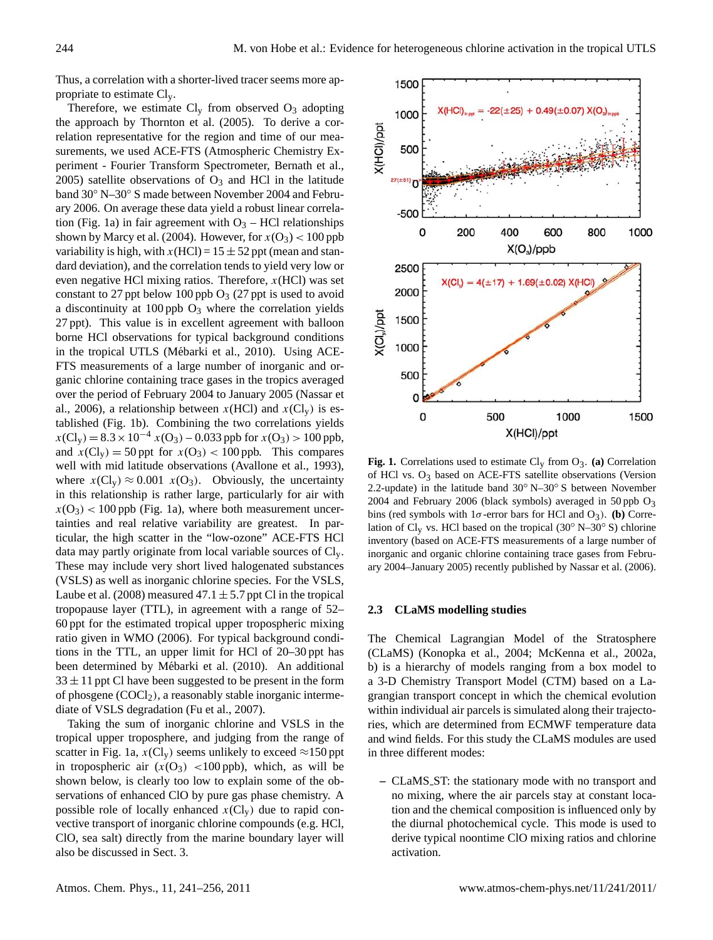Thus, a correlation with a shorter-lived tracer seems more appropriate to estimate Cly.

Therefore, we estimate  $Cl_v$  from observed  $O_3$  adopting the approach by Thornton et al. (2005). To derive a correlation representative for the region and time of our measurements, we used ACE-FTS (Atmospheric Chemistry Experiment - Fourier Transform Spectrometer, Bernath et al., 2005) satellite observations of  $O_3$  and HCl in the latitude band 30◦ N–30◦ S made between November 2004 and February 2006. On average these data yield a robust linear correlation (Fig. 1a) in fair agreement with  $O_3$  – HCl relationships shown by Marcy et al. (2004). However, for  $x(O_3) < 100$  ppb variability is high, with  $x(HCl) = 15 \pm 52$  ppt (mean and standard deviation), and the correlation tends to yield very low or even negative HCl mixing ratios. Therefore,  $x(HCl)$  was set constant to 27 ppt below 100 ppb  $O_3$  (27 ppt is used to avoid a discontinuity at  $100$  ppb  $O_3$  where the correlation yields 27 ppt). This value is in excellent agreement with balloon borne HCl observations for typical background conditions in the tropical UTLS (Mébarki et al., 2010). Using ACE-FTS measurements of a large number of inorganic and organic chlorine containing trace gases in the tropics averaged over the period of February 2004 to January 2005 (Nassar et al., 2006), a relationship between  $x(HCl)$  and  $x(Cl<sub>y</sub>)$  is established (Fig. 1b). Combining the two correlations yields  $x(Cl_v) = 8.3 \times 10^{-4} x(O_3) - 0.033$  ppb for  $x(O_3) > 100$  ppb, and  $x(Cl_v) = 50$  ppt for  $x(O_3) < 100$  ppb. This compares well with mid latitude observations (Avallone et al., 1993), where  $x(Cl_v) \approx 0.001 \ x(O_3)$ . Obviously, the uncertainty in this relationship is rather large, particularly for air with  $x(O_3)$  < 100 ppb (Fig. 1a), where both measurement uncertainties and real relative variability are greatest. In particular, the high scatter in the "low-ozone" ACE-FTS HCl data may partly originate from local variable sources of Cly. These may include very short lived halogenated substances (VSLS) as well as inorganic chlorine species. For the VSLS, Laube et al. (2008) measured  $47.1 \pm 5.7$  ppt Cl in the tropical tropopause layer (TTL), in agreement with a range of 52– 60 ppt for the estimated tropical upper tropospheric mixing ratio given in WMO (2006). For typical background conditions in the TTL, an upper limit for HCl of 20–30 ppt has been determined by Mébarki et al. (2010). An additional  $33 \pm 11$  ppt Cl have been suggested to be present in the form of phosgene  $(COCl<sub>2</sub>)$ , a reasonably stable inorganic intermediate of VSLS degradation (Fu et al., 2007).

Taking the sum of inorganic chlorine and VSLS in the tropical upper troposphere, and judging from the range of scatter in Fig. 1a,  $x(Cl_y)$  seems unlikely to exceed  $\approx$ 150 ppt in tropospheric air  $(x(O_3)$  <100 ppb), which, as will be shown below, is clearly too low to explain some of the observations of enhanced ClO by pure gas phase chemistry. A possible role of locally enhanced  $x(Cl_v)$  due to rapid convective transport of inorganic chlorine compounds (e.g. HCl, ClO, sea salt) directly from the marine boundary layer will also be discussed in Sect. 3.



**Fig. 1.** Correlations used to estimate Cly from O3. **(a)** Correlation of HCl vs. O<sub>3</sub> based on ACE-FTS satellite observations (Version 2.2-update) in the latitude band 30◦ N–30◦ S between November 2004 and February 2006 (black symbols) averaged in 50 ppb  $O_3$ bins (red symbols with  $1\sigma$ -error bars for HCl and O<sub>3</sub>). **(b)** Correlation of Cl<sub>y</sub> vs. HCl based on the tropical (30<sup>°</sup> N–30<sup>°</sup> S) chlorine inventory (based on ACE-FTS measurements of a large number of inorganic and organic chlorine containing trace gases from February 2004–January 2005) recently published by Nassar et al. (2006).

#### **2.3 CLaMS modelling studies**

The Chemical Lagrangian Model of the Stratosphere (CLaMS) (Konopka et al., 2004; McKenna et al., 2002a, b) is a hierarchy of models ranging from a box model to a 3-D Chemistry Transport Model (CTM) based on a Lagrangian transport concept in which the chemical evolution within individual air parcels is simulated along their trajectories, which are determined from ECMWF temperature data and wind fields. For this study the CLaMS modules are used in three different modes:

**–** CLaMS ST: the stationary mode with no transport and no mixing, where the air parcels stay at constant location and the chemical composition is influenced only by the diurnal photochemical cycle. This mode is used to derive typical noontime ClO mixing ratios and chlorine activation.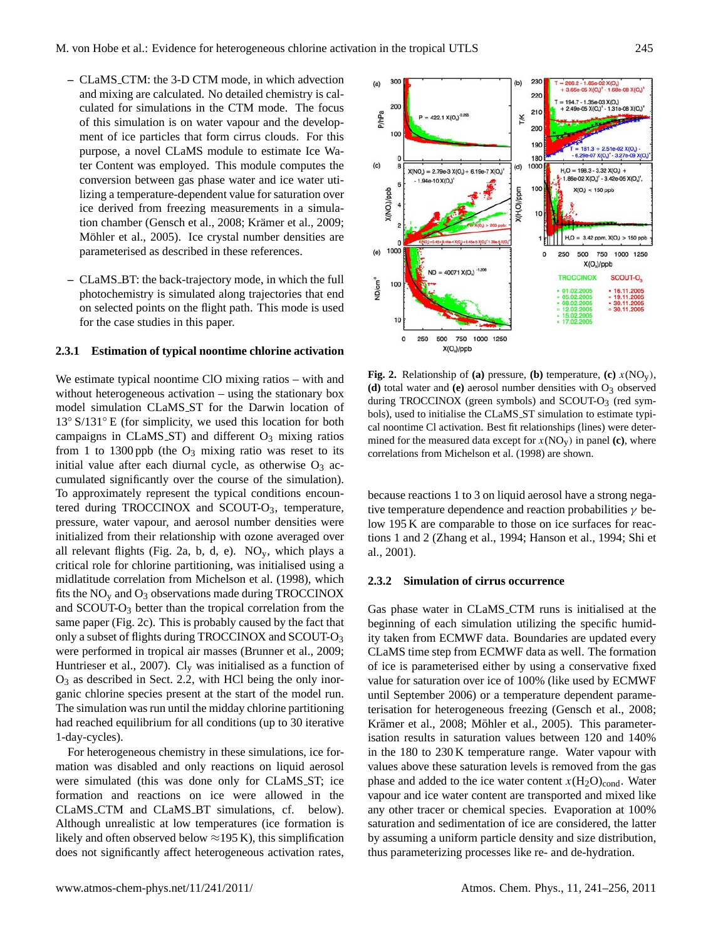- **–** CLaMS CTM: the 3-D CTM mode, in which advection and mixing are calculated. No detailed chemistry is calculated for simulations in the CTM mode. The focus of this simulation is on water vapour and the development of ice particles that form cirrus clouds. For this purpose, a novel CLaMS module to estimate Ice Water Content was employed. This module computes the conversion between gas phase water and ice water utilizing a temperature-dependent value for saturation over ice derived from freezing measurements in a simulation chamber (Gensch et al., 2008; Krämer et al., 2009; Möhler et al., 2005). Ice crystal number densities are parameterised as described in these references.
- **–** CLaMS BT: the back-trajectory mode, in which the full photochemistry is simulated along trajectories that end on selected points on the flight path. This mode is used for the case studies in this paper.

## **2.3.1 Estimation of typical noontime chlorine activation**

We estimate typical noontime ClO mixing ratios – with and without heterogeneous activation – using the stationary box model simulation CLaMS ST for the Darwin location of 13◦ S/131◦ E (for simplicity, we used this location for both campaigns in CLaMS ST) and different  $O_3$  mixing ratios from 1 to 1300 ppb (the  $O_3$  mixing ratio was reset to its initial value after each diurnal cycle, as otherwise  $O_3$  accumulated significantly over the course of the simulation). To approximately represent the typical conditions encountered during TROCCINOX and SCOUT-O<sub>3</sub>, temperature, pressure, water vapour, and aerosol number densities were initialized from their relationship with ozone averaged over all relevant flights (Fig. 2a, b, d, e).  $NO<sub>v</sub>$ , which plays a critical role for chlorine partitioning, was initialised using a midlatitude correlation from Michelson et al. (1998), which fits the  $NO<sub>y</sub>$  and  $O<sub>3</sub>$  observations made during TROCCINOX and SCOUT-O<sup>3</sup> better than the tropical correlation from the same paper (Fig. 2c). This is probably caused by the fact that only a subset of flights during TROCCINOX and SCOUT-O<sup>3</sup> were performed in tropical air masses (Brunner et al., 2009; Huntrieser et al., 2007). Cl<sup>y</sup> was initialised as a function of  $O_3$  as described in Sect. 2.2, with HCl being the only inorganic chlorine species present at the start of the model run. The simulation was run until the midday chlorine partitioning had reached equilibrium for all conditions (up to 30 iterative 1-day-cycles).

For heterogeneous chemistry in these simulations, ice formation was disabled and only reactions on liquid aerosol were simulated (this was done only for CLaMS ST; ice formation and reactions on ice were allowed in the CLaMS CTM and CLaMS BT simulations, cf. below). Although unrealistic at low temperatures (ice formation is likely and often observed below  $\approx$ 195 K), this simplification does not significantly affect heterogeneous activation rates,



**Fig. 2.** Relationship of **(a)** pressure, **(b)** temperature, **(c)**  $x(NO_v)$ , **(d)** total water and **(e)** aerosol number densities with  $O_3$  observed during TROCCINOX (green symbols) and SCOUT- $O<sub>3</sub>$  (red symbols), used to initialise the CLaMS ST simulation to estimate typical noontime Cl activation. Best fit relationships (lines) were determined for the measured data except for  $x(NO_y)$  in panel (c), where correlations from Michelson et al. (1998) are shown.

because reactions 1 to 3 on liquid aerosol have a strong negative temperature dependence and reaction probabilities  $\gamma$  below 195 K are comparable to those on ice surfaces for reactions 1 and 2 (Zhang et al., 1994; Hanson et al., 1994; Shi et al., 2001).

### **2.3.2 Simulation of cirrus occurrence**

Gas phase water in CLaMS CTM runs is initialised at the beginning of each simulation utilizing the specific humidity taken from ECMWF data. Boundaries are updated every CLaMS time step from ECMWF data as well. The formation of ice is parameterised either by using a conservative fixed value for saturation over ice of 100% (like used by ECMWF until September 2006) or a temperature dependent parameterisation for heterogeneous freezing (Gensch et al., 2008; Krämer et al., 2008; Möhler et al., 2005). This parameterisation results in saturation values between 120 and 140% in the 180 to 230 K temperature range. Water vapour with values above these saturation levels is removed from the gas phase and added to the ice water content  $x(H_2O)_{cond}$ . Water vapour and ice water content are transported and mixed like any other tracer or chemical species. Evaporation at 100% saturation and sedimentation of ice are considered, the latter by assuming a uniform particle density and size distribution, thus parameterizing processes like re- and de-hydration.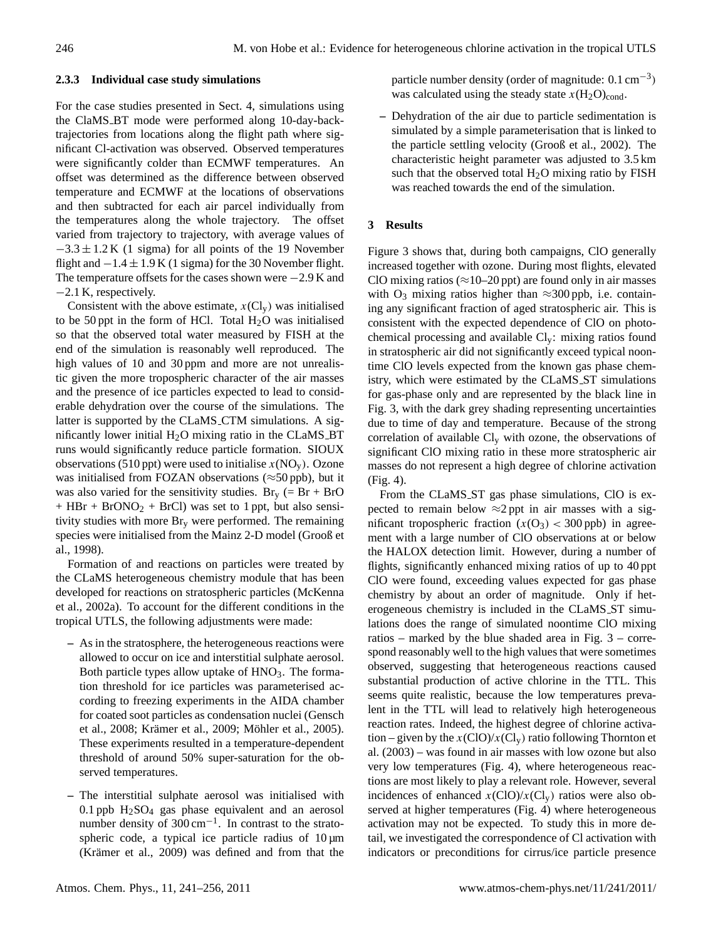### **2.3.3 Individual case study simulations**

For the case studies presented in Sect. 4, simulations using the ClaMS BT mode were performed along 10-day-backtrajectories from locations along the flight path where significant Cl-activation was observed. Observed temperatures were significantly colder than ECMWF temperatures. An offset was determined as the difference between observed temperature and ECMWF at the locations of observations and then subtracted for each air parcel individually from the temperatures along the whole trajectory. The offset varied from trajectory to trajectory, with average values of  $-3.3 \pm 1.2$  K (1 sigma) for all points of the 19 November flight and  $-1.4 \pm 1.9$  K (1 sigma) for the 30 November flight. The temperature offsets for the cases shown were  $-2.9$  K and −2.1 K, respectively.

Consistent with the above estimate,  $x(Cl_v)$  was initialised to be 50 ppt in the form of HCl. Total  $H<sub>2</sub>O$  was initialised so that the observed total water measured by FISH at the end of the simulation is reasonably well reproduced. The high values of 10 and 30 ppm and more are not unrealistic given the more tropospheric character of the air masses and the presence of ice particles expected to lead to considerable dehydration over the course of the simulations. The latter is supported by the CLaMS CTM simulations. A significantly lower initial  $H_2O$  mixing ratio in the CLaMS\_BT runs would significantly reduce particle formation. SIOUX observations (510 ppt) were used to initialise  $x(NO<sub>v</sub>)$ . Ozone was initialised from FOZAN observations ( $\approx$ 50 ppb), but it was also varied for the sensitivity studies.  $Br_v$  (= Br + BrO  $+$  HBr  $+$  BrONO<sub>2</sub>  $+$  BrCl) was set to 1 ppt, but also sensitivity studies with more Br<sup>y</sup> were performed. The remaining species were initialised from the Mainz 2-D model (Grooß et al., 1998).

Formation of and reactions on particles were treated by the CLaMS heterogeneous chemistry module that has been developed for reactions on stratospheric particles (McKenna et al., 2002a). To account for the different conditions in the tropical UTLS, the following adjustments were made:

- **–** As in the stratosphere, the heterogeneous reactions were allowed to occur on ice and interstitial sulphate aerosol. Both particle types allow uptake of  $HNO<sub>3</sub>$ . The formation threshold for ice particles was parameterised according to freezing experiments in the AIDA chamber for coated soot particles as condensation nuclei (Gensch et al., 2008; Krämer et al., 2009; Möhler et al., 2005). These experiments resulted in a temperature-dependent threshold of around 50% super-saturation for the observed temperatures.
- **–** The interstitial sulphate aerosol was initialised with  $0.1$  ppb  $H<sub>2</sub>SO<sub>4</sub>$  gas phase equivalent and an aerosol number density of 300 cm<sup>-1</sup>. In contrast to the stratospheric code, a typical ice particle radius of  $10 \mu m$ (Krämer et al., 2009) was defined and from that the

particle number density (order of magnitude:  $0.1 \text{ cm}^{-3}$ ) was calculated using the steady state  $x(H_2O)_{cond}$ .

**–** Dehydration of the air due to particle sedimentation is simulated by a simple parameterisation that is linked to the particle settling velocity (Grooß et al., 2002). The characteristic height parameter was adjusted to 3.5 km such that the observed total  $H<sub>2</sub>O$  mixing ratio by FISH was reached towards the end of the simulation.

## **3 Results**

Figure 3 shows that, during both campaigns, ClO generally increased together with ozone. During most flights, elevated ClO mixing ratios ( $\approx$ 10–20 ppt) are found only in air masses with O<sub>3</sub> mixing ratios higher than  $\approx$ 300 ppb, i.e. containing any significant fraction of aged stratospheric air. This is consistent with the expected dependence of ClO on photochemical processing and available  $Cl_v$ : mixing ratios found in stratospheric air did not significantly exceed typical noontime ClO levels expected from the known gas phase chemistry, which were estimated by the CLaMS ST simulations for gas-phase only and are represented by the black line in Fig. 3, with the dark grey shading representing uncertainties due to time of day and temperature. Because of the strong correlation of available  $Cl_v$  with ozone, the observations of significant ClO mixing ratio in these more stratospheric air masses do not represent a high degree of chlorine activation (Fig. 4).

From the CLaMS\_ST gas phase simulations, ClO is expected to remain below  $\approx$ 2 ppt in air masses with a significant tropospheric fraction  $(x(O_3) < 300$  ppb) in agreement with a large number of ClO observations at or below the HALOX detection limit. However, during a number of flights, significantly enhanced mixing ratios of up to 40 ppt ClO were found, exceeding values expected for gas phase chemistry by about an order of magnitude. Only if heterogeneous chemistry is included in the CLaMS ST simulations does the range of simulated noontime ClO mixing ratios – marked by the blue shaded area in Fig. 3 – correspond reasonably well to the high values that were sometimes observed, suggesting that heterogeneous reactions caused substantial production of active chlorine in the TTL. This seems quite realistic, because the low temperatures prevalent in the TTL will lead to relatively high heterogeneous reaction rates. Indeed, the highest degree of chlorine activation – given by the  $x(\text{ClO})/x(\text{Cl}_v)$  ratio following Thornton et al. (2003) – was found in air masses with low ozone but also very low temperatures (Fig. 4), where heterogeneous reactions are most likely to play a relevant role. However, several incidences of enhanced  $x$ (ClO)/ $x$ (Cl<sub>v</sub>) ratios were also observed at higher temperatures (Fig. 4) where heterogeneous activation may not be expected. To study this in more detail, we investigated the correspondence of Cl activation with indicators or preconditions for cirrus/ice particle presence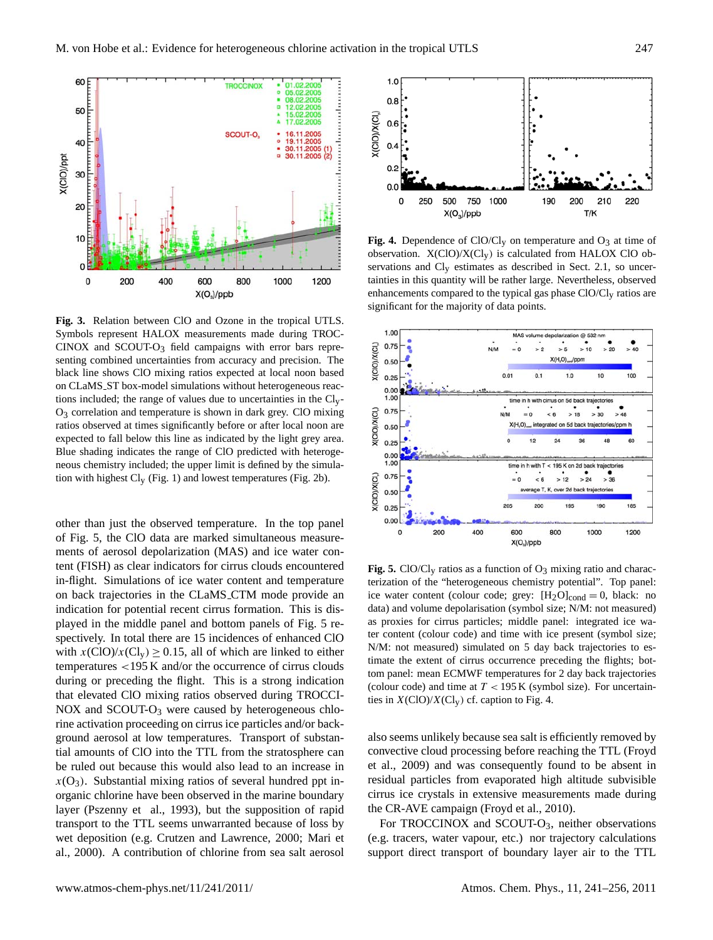

**Fig. 3.** Relation between ClO and Ozone in the tropical UTLS. Symbols represent HALOX measurements made during TROC- $CINOX$  and  $SCOUT-O3$  field campaigns with error bars representing combined uncertainties from accuracy and precision. The black line shows ClO mixing ratios expected at local noon based on CLaMS ST box-model simulations without heterogeneous reactions included; the range of values due to uncertainties in the Cly- $O<sub>3</sub>$  correlation and temperature is shown in dark grey. ClO mixing ratios observed at times significantly before or after local noon are expected to fall below this line as indicated by the light grey area. Blue shading indicates the range of ClO predicted with heterogeneous chemistry included; the upper limit is defined by the simulation with highest Cly (Fig. 1) and lowest temperatures (Fig. 2b).

other than just the observed temperature. In the top panel of Fig. 5, the ClO data are marked simultaneous measurements of aerosol depolarization (MAS) and ice water content (FISH) as clear indicators for cirrus clouds encountered in-flight. Simulations of ice water content and temperature on back trajectories in the CLaMS CTM mode provide an indication for potential recent cirrus formation. This is displayed in the middle panel and bottom panels of Fig. 5 respectively. In total there are 15 incidences of enhanced ClO with  $x({\rm ClO})/x({\rm Cl}_{v}) \ge 0.15$ , all of which are linked to either temperatures <195 K and/or the occurrence of cirrus clouds during or preceding the flight. This is a strong indication that elevated ClO mixing ratios observed during TROCCI-NOX and SCOUT-O<sub>3</sub> were caused by heterogeneous chlorine activation proceeding on cirrus ice particles and/or background aerosol at low temperatures. Transport of substantial amounts of ClO into the TTL from the stratosphere can be ruled out because this would also lead to an increase in  $x(O_3)$ . Substantial mixing ratios of several hundred ppt inorganic chlorine have been observed in the marine boundary layer (Pszenny et al., 1993), but the supposition of rapid transport to the TTL seems unwarranted because of loss by wet deposition (e.g. Crutzen and Lawrence, 2000; Mari et al., 2000). A contribution of chlorine from sea salt aerosol



**Fig. 4.** Dependence of ClO/Cl<sub>v</sub> on temperature and  $O_3$  at time of observation.  $X(CIO)/X(Cl_V)$  is calculated from HALOX ClO observations and Cly estimates as described in Sect. 2.1, so uncertainties in this quantity will be rather large. Nevertheless, observed enhancements compared to the typical gas phase ClO/Cl<sub>v</sub> ratios are significant for the majority of data points.



**Fig. 5.** ClO/Cl<sub>v</sub> ratios as a function of  $O_3$  mixing ratio and characterization of the "heterogeneous chemistry potential". Top panel: ice water content (colour code; grey:  $[H_2O]_{cond} = 0$ , black: no data) and volume depolarisation (symbol size; N/M: not measured) as proxies for cirrus particles; middle panel: integrated ice water content (colour code) and time with ice present (symbol size; N/M: not measured) simulated on 5 day back trajectories to estimate the extent of cirrus occurrence preceding the flights; bottom panel: mean ECMWF temperatures for 2 day back trajectories (colour code) and time at  $T < 195$  K (symbol size). For uncertainties in  $X(ClO)/X(Cl<sub>y</sub>)$  cf. caption to Fig. 4.

also seems unlikely because sea salt is efficiently removed by convective cloud processing before reaching the TTL (Froyd et al., 2009) and was consequently found to be absent in residual particles from evaporated high altitude subvisible cirrus ice crystals in extensive measurements made during the CR-AVE campaign (Froyd et al., 2010).

For TROCCINOX and SCOUT- $O_3$ , neither observations (e.g. tracers, water vapour, etc.) nor trajectory calculations support direct transport of boundary layer air to the TTL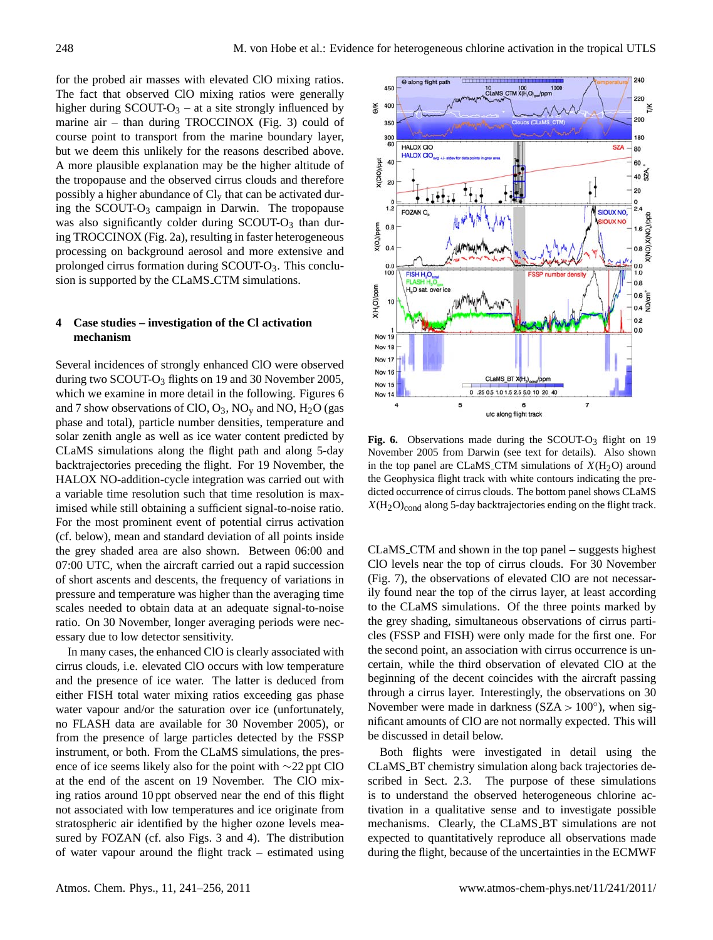for the probed air masses with elevated ClO mixing ratios. The fact that observed ClO mixing ratios were generally higher during  $SCOUT-O_3 - at a site strongly influenced by$ marine air – than during TROCCINOX (Fig. 3) could of course point to transport from the marine boundary layer, but we deem this unlikely for the reasons described above. A more plausible explanation may be the higher altitude of the tropopause and the observed cirrus clouds and therefore possibly a higher abundance of  $Cl<sub>v</sub>$  that can be activated during the SCOUT-O<sub>3</sub> campaign in Darwin. The tropopause was also significantly colder during SCOUT-O<sub>3</sub> than during TROCCINOX (Fig. 2a), resulting in faster heterogeneous processing on background aerosol and more extensive and prolonged cirrus formation during  $SCOUT-O<sub>3</sub>$ . This conclusion is supported by the CLaMS\_CTM simulations.

# **4 Case studies – investigation of the Cl activation mechanism**

Several incidences of strongly enhanced ClO were observed during two SCOUT-O<sub>3</sub> flights on 19 and 30 November 2005, which we examine in more detail in the following. Figures 6 and 7 show observations of ClO,  $O_3$ , NO<sub>y</sub> and NO, H<sub>2</sub>O (gas phase and total), particle number densities, temperature and solar zenith angle as well as ice water content predicted by CLaMS simulations along the flight path and along 5-day backtrajectories preceding the flight. For 19 November, the HALOX NO-addition-cycle integration was carried out with a variable time resolution such that time resolution is maximised while still obtaining a sufficient signal-to-noise ratio. For the most prominent event of potential cirrus activation (cf. below), mean and standard deviation of all points inside the grey shaded area are also shown. Between 06:00 and 07:00 UTC, when the aircraft carried out a rapid succession of short ascents and descents, the frequency of variations in pressure and temperature was higher than the averaging time scales needed to obtain data at an adequate signal-to-noise ratio. On 30 November, longer averaging periods were necessary due to low detector sensitivity.

In many cases, the enhanced ClO is clearly associated with cirrus clouds, i.e. elevated ClO occurs with low temperature and the presence of ice water. The latter is deduced from either FISH total water mixing ratios exceeding gas phase water vapour and/or the saturation over ice (unfortunately, no FLASH data are available for 30 November 2005), or from the presence of large particles detected by the FSSP instrument, or both. From the CLaMS simulations, the presence of ice seems likely also for the point with ∼22 ppt ClO at the end of the ascent on 19 November. The ClO mixing ratios around 10 ppt observed near the end of this flight not associated with low temperatures and ice originate from stratospheric air identified by the higher ozone levels measured by FOZAN (cf. also Figs. 3 and 4). The distribution of water vapour around the flight track – estimated using



Fig. 6. Observations made during the SCOUT-O<sub>3</sub> flight on 19 November 2005 from Darwin (see text for details). Also shown in the top panel are CLaMS\_CTM simulations of  $X(H_2O)$  around the Geophysica flight track with white contours indicating the predicted occurrence of cirrus clouds. The bottom panel shows CLaMS  $X(H_2O)_{cond}$  along 5-day backtrajectories ending on the flight track.

CLaMS CTM and shown in the top panel – suggests highest ClO levels near the top of cirrus clouds. For 30 November (Fig. 7), the observations of elevated ClO are not necessarily found near the top of the cirrus layer, at least according to the CLaMS simulations. Of the three points marked by the grey shading, simultaneous observations of cirrus particles (FSSP and FISH) were only made for the first one. For the second point, an association with cirrus occurrence is uncertain, while the third observation of elevated ClO at the beginning of the decent coincides with the aircraft passing through a cirrus layer. Interestingly, the observations on 30 November were made in darkness ( $SZA > 100^\circ$ ), when significant amounts of ClO are not normally expected. This will be discussed in detail below.

Both flights were investigated in detail using the CLaMS BT chemistry simulation along back trajectories described in Sect. 2.3. The purpose of these simulations is to understand the observed heterogeneous chlorine activation in a qualitative sense and to investigate possible mechanisms. Clearly, the CLaMS\_BT simulations are not expected to quantitatively reproduce all observations made during the flight, because of the uncertainties in the ECMWF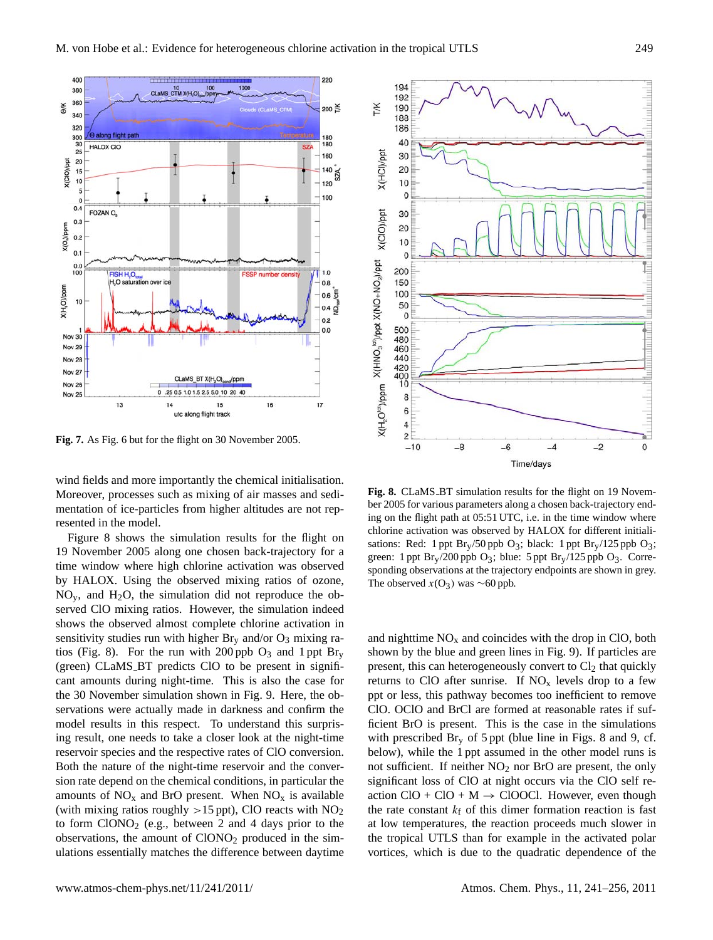

**Fig. 7.** As Fig. 6 but for the flight on 30 November 2005.

wind fields and more importantly the chemical initialisation. Moreover, processes such as mixing of air masses and sedimentation of ice-particles from higher altitudes are not represented in the model.

Figure 8 shows the simulation results for the flight on 19 November 2005 along one chosen back-trajectory for a time window where high chlorine activation was observed by HALOX. Using the observed mixing ratios of ozone,  $NO<sub>v</sub>$ , and H<sub>2</sub>O, the simulation did not reproduce the observed ClO mixing ratios. However, the simulation indeed shows the observed almost complete chlorine activation in sensitivity studies run with higher  $Br_v$  and/or  $O_3$  mixing ratios (Fig. 8). For the run with 200 ppb  $O_3$  and 1 ppt Br<sub>y</sub> (green) CLaMS BT predicts ClO to be present in significant amounts during night-time. This is also the case for the 30 November simulation shown in Fig. 9. Here, the observations were actually made in darkness and confirm the model results in this respect. To understand this surprising result, one needs to take a closer look at the night-time reservoir species and the respective rates of ClO conversion. Both the nature of the night-time reservoir and the conversion rate depend on the chemical conditions, in particular the amounts of  $NO<sub>x</sub>$  and BrO present. When  $NO<sub>x</sub>$  is available (with mixing ratios roughly  $>15$  ppt), ClO reacts with NO<sub>2</sub> to form  $CIONO<sub>2</sub>$  (e.g., between 2 and 4 days prior to the observations, the amount of  $CIONO<sub>2</sub>$  produced in the simulations essentially matches the difference between daytime



**Fig. 8.** CLaMS BT simulation results for the flight on 19 November 2005 for various parameters along a chosen back-trajectory ending on the flight path at 05:51 UTC, i.e. in the time window where chlorine activation was observed by HALOX for different initialisations: Red: 1 ppt  $Br_y/50$  ppb  $O_3$ ; black: 1 ppt  $Br_y/125$  ppb  $O_3$ ; green: 1 ppt  $Br_y/200$  ppb  $O_3$ ; blue: 5 ppt  $Br_y/125$  ppb  $O_3$ . Corresponding observations at the trajectory endpoints are shown in grey. The observed  $x(O_3)$  was ∼60 ppb.

and nighttime  $NO<sub>x</sub>$  and coincides with the drop in ClO, both shown by the blue and green lines in Fig. 9). If particles are present, this can heterogeneously convert to  $Cl<sub>2</sub>$  that quickly returns to ClO after sunrise. If  $NO<sub>x</sub>$  levels drop to a few ppt or less, this pathway becomes too inefficient to remove ClO. OClO and BrCl are formed at reasonable rates if sufficient BrO is present. This is the case in the simulations with prescribed  $\text{Br}_{v}$  of 5 ppt (blue line in Figs. 8 and 9, cf. below), while the 1 ppt assumed in the other model runs is not sufficient. If neither  $NO<sub>2</sub>$  nor BrO are present, the only significant loss of ClO at night occurs via the ClO self reaction  $ClO + ClO + M \rightarrow ClOOCl$ . However, even though the rate constant  $k_f$  of this dimer formation reaction is fast at low temperatures, the reaction proceeds much slower in the tropical UTLS than for example in the activated polar vortices, which is due to the quadratic dependence of the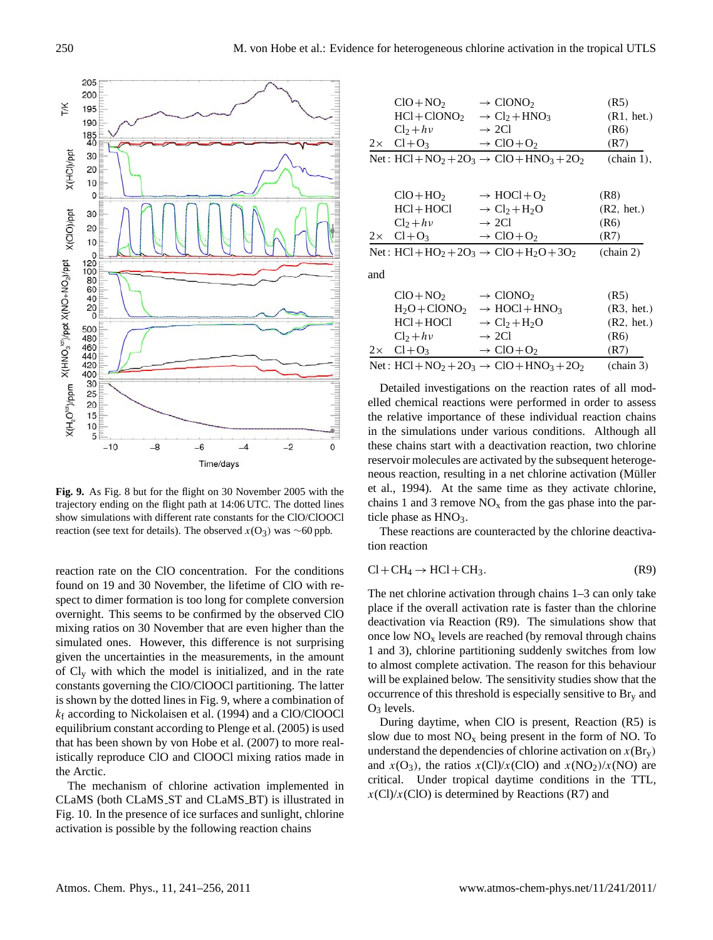

**Fig. 9.** As Fig. 8 but for the flight on 30 November 2005 with the trajectory ending on the flight path at 14:06 UTC. The dotted lines show simulations with different rate constants for the ClO/ClOOCl reaction (see text for details). The observed  $x(O_3)$  was ∼60 ppb.

reaction rate on the ClO concentration. For the conditions found on 19 and 30 November, the lifetime of ClO with respect to dimer formation is too long for complete conversion overnight. This seems to be confirmed by the observed ClO mixing ratios on 30 November that are even higher than the simulated ones. However, this difference is not surprising given the uncertainties in the measurements, in the amount of  $Cl_v$  with which the model is initialized, and in the rate constants governing the ClO/ClOOCl partitioning. The latter is shown by the dotted lines in Fig. 9, where a combination of  $k_f$  according to Nickolaisen et al. (1994) and a ClO/ClOOCl equilibrium constant according to Plenge et al. (2005) is used that has been shown by von Hobe et al. (2007) to more realistically reproduce ClO and ClOOCl mixing ratios made in the Arctic.

The mechanism of chlorine activation implemented in CLaMS (both CLaMS ST and CLaMS BT) is illustrated in Fig. 10. In the presence of ice surfaces and sunlight, chlorine activation is possible by the following reaction chains

|           | $ClO + NO2$                       | $\rightarrow$ ClONO <sub>2</sub>                                                              | (R5)                 |
|-----------|-----------------------------------|-----------------------------------------------------------------------------------------------|----------------------|
|           | $HC1 + ClONO2$                    | $\rightarrow$ Cl <sub>2</sub> +HNO <sub>3</sub>                                               | (R1, het.)           |
|           | $Cl2 + h\nu$                      | $\rightarrow$ 2Cl                                                                             | (R6)                 |
|           | $2 \times \text{Cl} + \text{O}_3$ | $\rightarrow$ ClO+O <sub>2</sub>                                                              | (R7)                 |
|           |                                   | Net: $HCl + NO2 + 2O3 \rightarrow ClO + HNO3 + 2O2$                                           | $(\text{chain } 1),$ |
|           |                                   |                                                                                               |                      |
|           | $ClO+HO2$                         | $\rightarrow$ HOCl+O <sub>2</sub>                                                             | (R8)                 |
|           | HCl+HOCl                          | $\rightarrow$ Cl <sub>2</sub> +H <sub>2</sub> O                                               | (R2, het.)           |
|           | $Cl2 + h\nu$                      | $\rightarrow$ 2Cl                                                                             | (R6)                 |
|           | $2 \times \text{Cl} + \text{O}_3$ | $\rightarrow$ ClO+O <sub>2</sub>                                                              | (R7)                 |
|           |                                   | Net: HCl+HO <sub>2</sub> + 2O <sub>3</sub> $\rightarrow$ ClO+H <sub>2</sub> O+3O <sub>2</sub> | $(\text{chain } 2)$  |
| and       |                                   |                                                                                               |                      |
|           | $ClO + NO2$                       | $\rightarrow$ ClONO <sub>2</sub>                                                              | (R5)                 |
|           | $H_2O + ClONO_2$                  | $\rightarrow$ HOCl+HNO <sub>3</sub>                                                           | (R3, het.)           |
|           | HCl+HOCl                          | $\rightarrow$ Cl <sub>2</sub> +H <sub>2</sub> O                                               | (R2, het.)           |
|           | $Cl2 + h\nu$                      | $\rightarrow$ 2Cl                                                                             | (R6)                 |
| $2\times$ | $Cl + O_3$                        | $\rightarrow$ ClO+O <sub>2</sub>                                                              | (R7)                 |

Net :  $HCl + NO<sub>2</sub> + 2O<sub>3</sub> \rightarrow ClO + HNO<sub>3</sub> + 2O<sub>2</sub>$  (chain 3)

Detailed investigations on the reaction rates of all modelled chemical reactions were performed in order to assess the relative importance of these individual reaction chains in the simulations under various conditions. Although all these chains start with a deactivation reaction, two chlorine reservoir molecules are activated by the subsequent heterogeneous reaction, resulting in a net chlorine activation (Müller et al., 1994). At the same time as they activate chlorine, chains 1 and 3 remove  $NO<sub>x</sub>$  from the gas phase into the particle phase as  $HNO<sub>3</sub>$ .

These reactions are counteracted by the chlorine deactivation reaction

$$
Cl + CH_4 \rightarrow HCl + CH_3. \tag{R9}
$$

The net chlorine activation through chains 1–3 can only take place if the overall activation rate is faster than the chlorine deactivation via Reaction (R9). The simulations show that once low  $NO<sub>x</sub>$  levels are reached (by removal through chains 1 and 3), chlorine partitioning suddenly switches from low to almost complete activation. The reason for this behaviour will be explained below. The sensitivity studies show that the occurrence of this threshold is especially sensitive to  $\text{Br}_y$  and  $O<sub>3</sub>$  levels.

During daytime, when ClO is present, Reaction (R5) is slow due to most  $NO<sub>x</sub>$  being present in the form of NO. To understand the dependencies of chlorine activation on  $x(Br_y)$ and  $x(O_3)$ , the ratios  $x(Cl)/x(ClO)$  and  $x(NO_2)/x(NO)$  are critical. Under tropical daytime conditions in the TTL,  $x$ (Cl)/ $x$ (ClO) is determined by Reactions (R7) and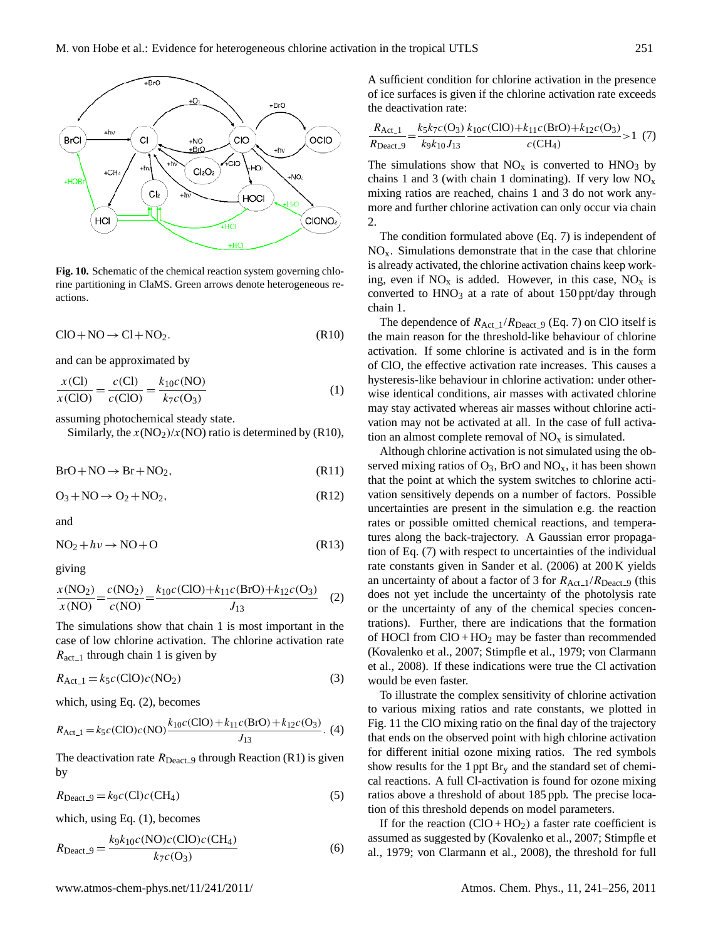

**Fig. 10.** Schematic of the chemical reaction system governing chlorine partitioning in ClaMS. Green arrows denote heterogeneous reactions.

$$
ClO + NO \rightarrow Cl + NO_2. \tag{R10}
$$

and can be approximated by

$$
\frac{x(CI)}{x(CIO)} = \frac{c(CI)}{c(CIO)} = \frac{k_{10}c(NO)}{k_7c(O_3)}
$$
(1)

assuming photochemical steady state.

Similarly, the  $x(NO<sub>2</sub>)/x(NO)$  ratio is determined by (R10),

$$
BrO + NO \rightarrow Br + NO_2, \tag{R11}
$$

$$
O_3 + NO \rightarrow O_2 + NO_2, \tag{R12}
$$

and

$$
NO2 + h\nu \to NO + O
$$
 (R13)

giving

$$
\frac{x(\text{NO}_2)}{x(\text{NO})} = \frac{c(\text{NO}_2)}{c(\text{NO})} = \frac{k_{10}c(\text{ClO}) + k_{11}c(\text{BrO}) + k_{12}c(\text{O}_3)}{J_{13}} \tag{2}
$$

The simulations show that chain 1 is most important in the case of low chlorine activation. The chlorine activation rate  $R_{\text{act}\_1}$  through chain 1 is given by

$$
R_{\text{Act}\_1} = k_5 c(\text{ClO})c(\text{NO}_2) \tag{3}
$$

which, using Eq. (2), becomes

$$
R_{\text{Act}\_1} = k_5 c(\text{ClO}) c(\text{NO}) \frac{k_{10} c(\text{ClO}) + k_{11} c(\text{BrO}) + k_{12} c(\text{O}_3)}{J_{13}}. (4)
$$

The deactivation rate  $R_{\text{Deact\_9}}$  through Reaction (R1) is given by

$$
R_{\text{Deact}\_} = k_9 c \text{(Cl)} c \text{(CH}_4) \tag{5}
$$

which, using Eq. (1), becomes

$$
R_{\text{Deact}\_} = \frac{k_9 k_{10} c (\text{NO}) c (\text{ClO}) c (\text{CH}_4)}{k_7 c (\text{O}_3)} \tag{6}
$$

A sufficient condition for chlorine activation in the presence of ice surfaces is given if the chlorine activation rate exceeds the deactivation rate:

$$
\frac{R_{\text{Act}\_1}}{R_{\text{Deact}\_9}} = \frac{k_5 k_7 c(\text{O}_3)}{k_9 k_{10} J_{13}} \frac{k_{10} c(\text{ClO}) + k_{11} c(\text{BrO}) + k_{12} c(\text{O}_3)}{c(\text{CH}_4)} > 1 \tag{7}
$$

The simulations show that  $NO<sub>x</sub>$  is converted to  $HNO<sub>3</sub>$  by chains 1 and 3 (with chain 1 dominating). If very low  $NO<sub>x</sub>$ mixing ratios are reached, chains 1 and 3 do not work anymore and further chlorine activation can only occur via chain 2.

The condition formulated above (Eq. 7) is independent of  $NO<sub>x</sub>$ . Simulations demonstrate that in the case that chlorine is already activated, the chlorine activation chains keep working, even if  $NO<sub>x</sub>$  is added. However, in this case,  $NO<sub>x</sub>$  is converted to  $HNO<sub>3</sub>$  at a rate of about 150 ppt/day through chain 1.

The dependence of  $R_{\text{Act}\_1}/R_{\text{Deact}\_9}$  (Eq. 7) on ClO itself is the main reason for the threshold-like behaviour of chlorine activation. If some chlorine is activated and is in the form of ClO, the effective activation rate increases. This causes a hysteresis-like behaviour in chlorine activation: under otherwise identical conditions, air masses with activated chlorine may stay activated whereas air masses without chlorine activation may not be activated at all. In the case of full activation an almost complete removal of  $NO<sub>x</sub>$  is simulated.

Although chlorine activation is not simulated using the observed mixing ratios of  $O_3$ , BrO and  $NO_x$ , it has been shown that the point at which the system switches to chlorine activation sensitively depends on a number of factors. Possible uncertainties are present in the simulation e.g. the reaction rates or possible omitted chemical reactions, and temperatures along the back-trajectory. A Gaussian error propagation of Eq. (7) with respect to uncertainties of the individual rate constants given in Sander et al. (2006) at 200 K yields an uncertainty of about a factor of 3 for  $R_{\text{Act}\_1}/R_{\text{Deact}\_9}$  (this does not yet include the uncertainty of the photolysis rate or the uncertainty of any of the chemical species concentrations). Further, there are indications that the formation of HOCl from  $ClO + HO<sub>2</sub>$  may be faster than recommended (Kovalenko et al., 2007; Stimpfle et al., 1979; von Clarmann et al., 2008). If these indications were true the Cl activation would be even faster.

To illustrate the complex sensitivity of chlorine activation to various mixing ratios and rate constants, we plotted in Fig. 11 the ClO mixing ratio on the final day of the trajectory that ends on the observed point with high chlorine activation for different initial ozone mixing ratios. The red symbols show results for the 1 ppt  $Br_v$  and the standard set of chemical reactions. A full Cl-activation is found for ozone mixing ratios above a threshold of about 185 ppb. The precise location of this threshold depends on model parameters.

If for the reaction  $(CIO + HO<sub>2</sub>)$  a faster rate coefficient is assumed as suggested by (Kovalenko et al., 2007; Stimpfle et al., 1979; von Clarmann et al., 2008), the threshold for full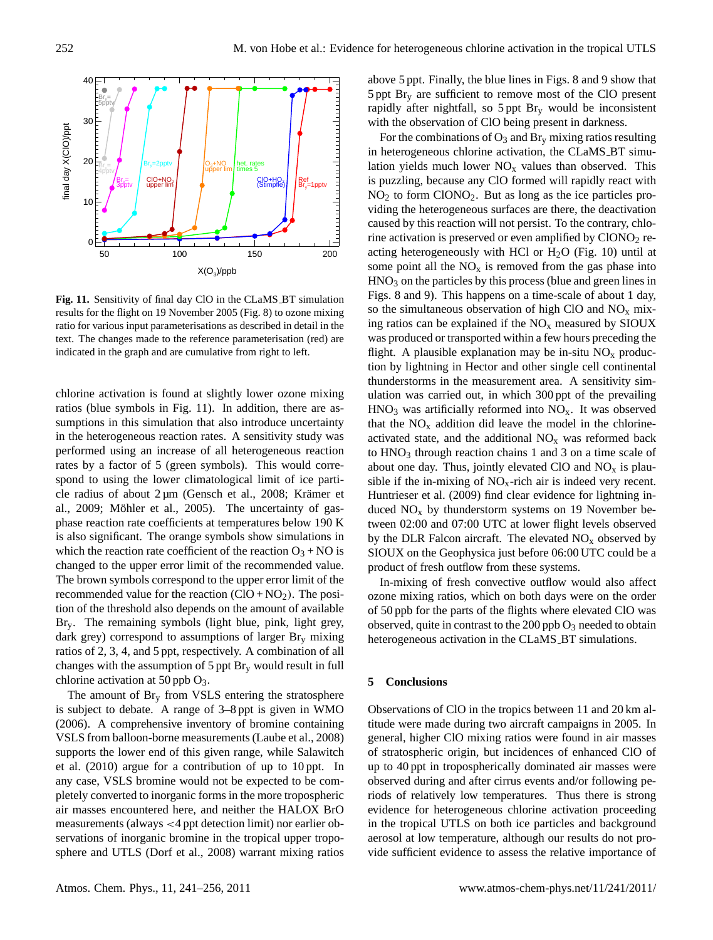

**Fig. 11.** Sensitivity of final day ClO in the CLaMS BT simulation results for the flight on 19 November 2005 (Fig. 8) to ozone mixing ratio for various input parameterisations as described in detail in the text. The changes made to the reference parameterisation (red) are indicated in the graph and are cumulative from right to left.

chlorine activation is found at slightly lower ozone mixing ratios (blue symbols in Fig. 11). In addition, there are assumptions in this simulation that also introduce uncertainty in the heterogeneous reaction rates. A sensitivity study was performed using an increase of all heterogeneous reaction rates by a factor of 5 (green symbols). This would correspond to using the lower climatological limit of ice particle radius of about  $2 \mu m$  (Gensch et al., 2008; Krämer et al., 2009; Möhler et al., 2005). The uncertainty of gasphase reaction rate coefficients at temperatures below 190 K is also significant. The orange symbols show simulations in which the reaction rate coefficient of the reaction  $O_3 + NO$  is changed to the upper error limit of the recommended value. The brown symbols correspond to the upper error limit of the recommended value for the reaction  $(CIO + NO<sub>2</sub>)$ . The position of the threshold also depends on the amount of available Bry. The remaining symbols (light blue, pink, light grey, dark grey) correspond to assumptions of larger  $Br_v$  mixing ratios of 2, 3, 4, and 5 ppt, respectively. A combination of all changes with the assumption of  $5$  ppt  $Br<sub>v</sub>$  would result in full chlorine activation at 50 ppb  $O_3$ .

The amount of  $Br<sub>y</sub>$  from VSLS entering the stratosphere is subject to debate. A range of 3–8 ppt is given in WMO (2006). A comprehensive inventory of bromine containing VSLS from balloon-borne measurements (Laube et al., 2008) supports the lower end of this given range, while Salawitch et al. (2010) argue for a contribution of up to 10 ppt. In any case, VSLS bromine would not be expected to be completely converted to inorganic forms in the more tropospheric air masses encountered here, and neither the HALOX BrO measurements (always <4 ppt detection limit) nor earlier observations of inorganic bromine in the tropical upper troposphere and UTLS (Dorf et al., 2008) warrant mixing ratios above 5 ppt. Finally, the blue lines in Figs. 8 and 9 show that 5 ppt Br<sup>y</sup> are sufficient to remove most of the ClO present rapidly after nightfall, so  $5$  ppt  $\text{Br}_{v}$  would be inconsistent with the observation of ClO being present in darkness.

For the combinations of  $O_3$  and  $Br_v$  mixing ratios resulting in heterogeneous chlorine activation, the CLaMS BT simulation yields much lower  $NO<sub>x</sub>$  values than observed. This is puzzling, because any ClO formed will rapidly react with NO<sup>2</sup> to form ClONO2. But as long as the ice particles providing the heterogeneous surfaces are there, the deactivation caused by this reaction will not persist. To the contrary, chlorine activation is preserved or even amplified by  $CIONO<sub>2</sub>$  reacting heterogeneously with HCl or  $H<sub>2</sub>O$  (Fig. 10) until at some point all the  $NO<sub>x</sub>$  is removed from the gas phase into  $HNO<sub>3</sub>$  on the particles by this process (blue and green lines in Figs. 8 and 9). This happens on a time-scale of about 1 day, so the simultaneous observation of high ClO and  $NO<sub>x</sub>$  mixing ratios can be explained if the  $NO<sub>x</sub>$  measured by SIOUX was produced or transported within a few hours preceding the flight. A plausible explanation may be in-situ  $NO<sub>x</sub>$  production by lightning in Hector and other single cell continental thunderstorms in the measurement area. A sensitivity simulation was carried out, in which 300 ppt of the prevailing  $HNO<sub>3</sub>$  was artificially reformed into  $NO<sub>x</sub>$ . It was observed that the  $NO<sub>x</sub>$  addition did leave the model in the chlorineactivated state, and the additional  $NO<sub>x</sub>$  was reformed back to  $HNO<sub>3</sub>$  through reaction chains 1 and 3 on a time scale of about one day. Thus, jointly elevated ClO and  $NO<sub>x</sub>$  is plausible if the in-mixing of  $NO<sub>x</sub>$ -rich air is indeed very recent. Huntrieser et al. (2009) find clear evidence for lightning induced  $NO<sub>x</sub>$  by thunderstorm systems on 19 November between 02:00 and 07:00 UTC at lower flight levels observed by the DLR Falcon aircraft. The elevated  $NO<sub>x</sub>$  observed by SIOUX on the Geophysica just before 06:00 UTC could be a product of fresh outflow from these systems.

In-mixing of fresh convective outflow would also affect ozone mixing ratios, which on both days were on the order of 50 ppb for the parts of the flights where elevated ClO was observed, quite in contrast to the  $200$  ppb  $O_3$  needed to obtain heterogeneous activation in the CLaMS\_BT simulations.

### **5 Conclusions**

Observations of ClO in the tropics between 11 and 20 km altitude were made during two aircraft campaigns in 2005. In general, higher ClO mixing ratios were found in air masses of stratospheric origin, but incidences of enhanced ClO of up to 40 ppt in tropospherically dominated air masses were observed during and after cirrus events and/or following periods of relatively low temperatures. Thus there is strong evidence for heterogeneous chlorine activation proceeding in the tropical UTLS on both ice particles and background aerosol at low temperature, although our results do not provide sufficient evidence to assess the relative importance of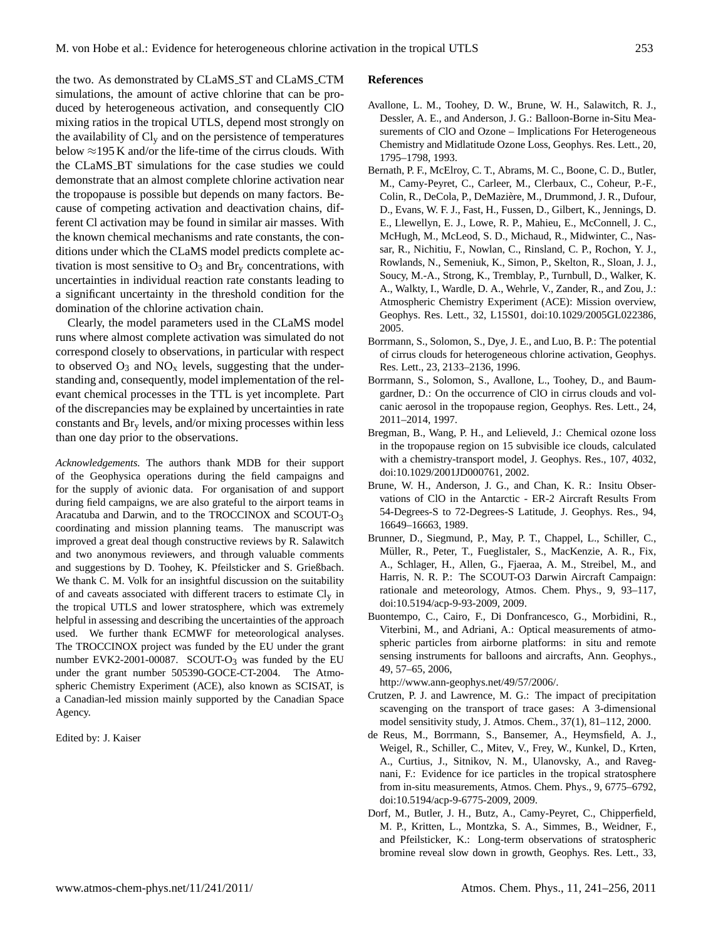the two. As demonstrated by CLaMS ST and CLaMS CTM simulations, the amount of active chlorine that can be produced by heterogeneous activation, and consequently ClO mixing ratios in the tropical UTLS, depend most strongly on the availability of  $Cl_v$  and on the persistence of temperatures below  $\approx$ 195 K and/or the life-time of the cirrus clouds. With the CLaMS BT simulations for the case studies we could demonstrate that an almost complete chlorine activation near the tropopause is possible but depends on many factors. Because of competing activation and deactivation chains, different Cl activation may be found in similar air masses. With the known chemical mechanisms and rate constants, the conditions under which the CLaMS model predicts complete activation is most sensitive to  $O_3$  and  $Br_v$  concentrations, with uncertainties in individual reaction rate constants leading to a significant uncertainty in the threshold condition for the domination of the chlorine activation chain.

Clearly, the model parameters used in the CLaMS model runs where almost complete activation was simulated do not correspond closely to observations, in particular with respect to observed  $O_3$  and  $NO_x$  levels, suggesting that the understanding and, consequently, model implementation of the relevant chemical processes in the TTL is yet incomplete. Part of the discrepancies may be explained by uncertainties in rate constants and Br<sup>y</sup> levels, and/or mixing processes within less than one day prior to the observations.

*Acknowledgements.* The authors thank MDB for their support of the Geophysica operations during the field campaigns and for the supply of avionic data. For organisation of and support during field campaigns, we are also grateful to the airport teams in Aracatuba and Darwin, and to the TROCCINOX and SCOUT-O3 coordinating and mission planning teams. The manuscript was improved a great deal though constructive reviews by R. Salawitch and two anonymous reviewers, and through valuable comments and suggestions by D. Toohey, K. Pfeilsticker and S. Grießbach. We thank C. M. Volk for an insightful discussion on the suitability of and caveats associated with different tracers to estimate  $Cl<sub>v</sub>$  in the tropical UTLS and lower stratosphere, which was extremely helpful in assessing and describing the uncertainties of the approach used. We further thank ECMWF for meteorological analyses. The TROCCINOX project was funded by the EU under the grant number EVK2-2001-00087. SCOUT- $O_3$  was funded by the EU under the grant number 505390-GOCE-CT-2004. The Atmospheric Chemistry Experiment (ACE), also known as SCISAT, is a Canadian-led mission mainly supported by the Canadian Space Agency.

Edited by: J. Kaiser

#### **References**

- Avallone, L. M., Toohey, D. W., Brune, W. H., Salawitch, R. J., Dessler, A. E., and Anderson, J. G.: Balloon-Borne in-Situ Measurements of ClO and Ozone – Implications For Heterogeneous Chemistry and Midlatitude Ozone Loss, Geophys. Res. Lett., 20, 1795–1798, 1993.
- Bernath, P. F., McElroy, C. T., Abrams, M. C., Boone, C. D., Butler, M., Camy-Peyret, C., Carleer, M., Clerbaux, C., Coheur, P.-F., Colin, R., DeCola, P., DeMaziere, M., Drummond, J. R., Dufour, ` D., Evans, W. F. J., Fast, H., Fussen, D., Gilbert, K., Jennings, D. E., Llewellyn, E. J., Lowe, R. P., Mahieu, E., McConnell, J. C., McHugh, M., McLeod, S. D., Michaud, R., Midwinter, C., Nassar, R., Nichitiu, F., Nowlan, C., Rinsland, C. P., Rochon, Y. J., Rowlands, N., Semeniuk, K., Simon, P., Skelton, R., Sloan, J. J., Soucy, M.-A., Strong, K., Tremblay, P., Turnbull, D., Walker, K. A., Walkty, I., Wardle, D. A., Wehrle, V., Zander, R., and Zou, J.: Atmospheric Chemistry Experiment (ACE): Mission overview, Geophys. Res. Lett., 32, L15S01, doi:10.1029/2005GL022386, 2005.
- Borrmann, S., Solomon, S., Dye, J. E., and Luo, B. P.: The potential of cirrus clouds for heterogeneous chlorine activation, Geophys. Res. Lett., 23, 2133–2136, 1996.
- Borrmann, S., Solomon, S., Avallone, L., Toohey, D., and Baumgardner, D.: On the occurrence of ClO in cirrus clouds and volcanic aerosol in the tropopause region, Geophys. Res. Lett., 24, 2011–2014, 1997.
- Bregman, B., Wang, P. H., and Lelieveld, J.: Chemical ozone loss in the tropopause region on 15 subvisible ice clouds, calculated with a chemistry-transport model, J. Geophys. Res., 107, 4032, doi:10.1029/2001JD000761, 2002.
- Brune, W. H., Anderson, J. G., and Chan, K. R.: Insitu Observations of ClO in the Antarctic - ER-2 Aircraft Results From 54-Degrees-S to 72-Degrees-S Latitude, J. Geophys. Res., 94, 16649–16663, 1989.
- Brunner, D., Siegmund, P., May, P. T., Chappel, L., Schiller, C., Müller, R., Peter, T., Fueglistaler, S., MacKenzie, A. R., Fix, A., Schlager, H., Allen, G., Fjaeraa, A. M., Streibel, M., and Harris, N. R. P.: The SCOUT-O3 Darwin Aircraft Campaign: rationale and meteorology, Atmos. Chem. Phys., 9, 93–117, doi:10.5194/acp-9-93-2009, 2009.
- Buontempo, C., Cairo, F., Di Donfrancesco, G., Morbidini, R., Viterbini, M., and Adriani, A.: Optical measurements of atmospheric particles from airborne platforms: in situ and remote sensing instruments for balloons and aircrafts, Ann. Geophys., 49, 57–65, 2006,

[http://www.ann-geophys.net/49/57/2006/.](http://www.ann-geophys.net/49/57/2006/)

- Crutzen, P. J. and Lawrence, M. G.: The impact of precipitation scavenging on the transport of trace gases: A 3-dimensional model sensitivity study, J. Atmos. Chem., 37(1), 81–112, 2000.
- de Reus, M., Borrmann, S., Bansemer, A., Heymsfield, A. J., Weigel, R., Schiller, C., Mitev, V., Frey, W., Kunkel, D., Krten, A., Curtius, J., Sitnikov, N. M., Ulanovsky, A., and Ravegnani, F.: Evidence for ice particles in the tropical stratosphere from in-situ measurements, Atmos. Chem. Phys., 9, 6775–6792, doi:10.5194/acp-9-6775-2009, 2009.
- Dorf, M., Butler, J. H., Butz, A., Camy-Peyret, C., Chipperfield, M. P., Kritten, L., Montzka, S. A., Simmes, B., Weidner, F., and Pfeilsticker, K.: Long-term observations of stratospheric bromine reveal slow down in growth, Geophys. Res. Lett., 33,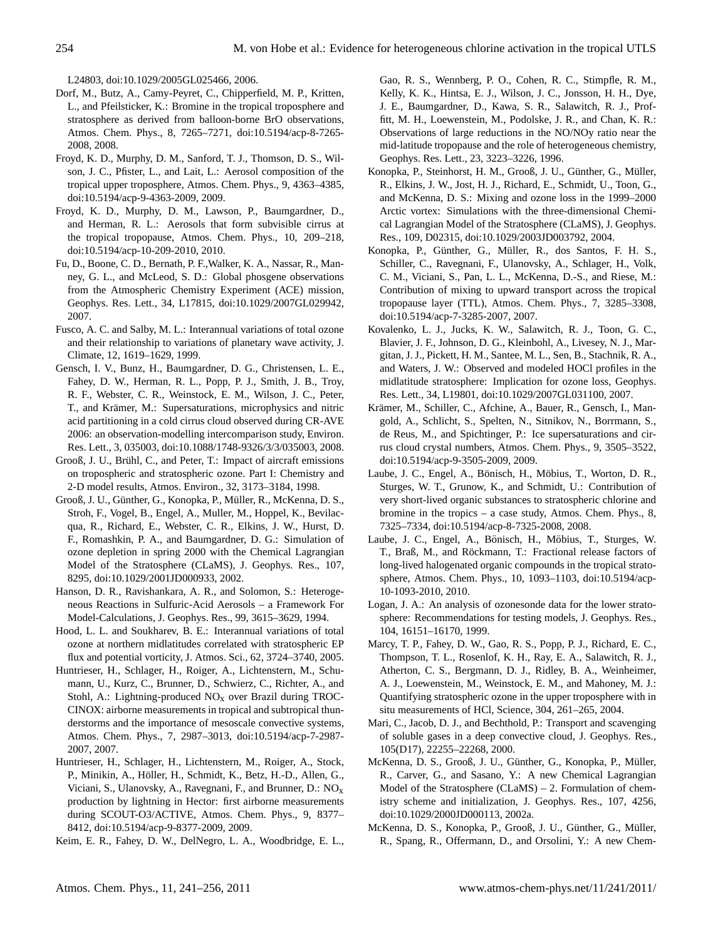L24803, doi:10.1029/2005GL025466, 2006.

- Dorf, M., Butz, A., Camy-Peyret, C., Chipperfield, M. P., Kritten, L., and Pfeilsticker, K.: Bromine in the tropical troposphere and stratosphere as derived from balloon-borne BrO observations, Atmos. Chem. Phys., 8, 7265–7271, doi:10.5194/acp-8-7265- 2008, 2008.
- Froyd, K. D., Murphy, D. M., Sanford, T. J., Thomson, D. S., Wilson, J. C., Pfister, L., and Lait, L.: Aerosol composition of the tropical upper troposphere, Atmos. Chem. Phys., 9, 4363–4385, doi:10.5194/acp-9-4363-2009, 2009.
- Froyd, K. D., Murphy, D. M., Lawson, P., Baumgardner, D., and Herman, R. L.: Aerosols that form subvisible cirrus at the tropical tropopause, Atmos. Chem. Phys., 10, 209–218, doi:10.5194/acp-10-209-2010, 2010.
- Fu, D., Boone, C. D., Bernath, P. F.,Walker, K. A., Nassar, R., Manney, G. L., and McLeod, S. D.: Global phosgene observations from the Atmospheric Chemistry Experiment (ACE) mission, Geophys. Res. Lett., 34, L17815, doi:10.1029/2007GL029942, 2007.
- Fusco, A. C. and Salby, M. L.: Interannual variations of total ozone and their relationship to variations of planetary wave activity, J. Climate, 12, 1619–1629, 1999.
- Gensch, I. V., Bunz, H., Baumgardner, D. G., Christensen, L. E., Fahey, D. W., Herman, R. L., Popp, P. J., Smith, J. B., Troy, R. F., Webster, C. R., Weinstock, E. M., Wilson, J. C., Peter, T., and Krämer, M.: Supersaturations, microphysics and nitric acid partitioning in a cold cirrus cloud observed during CR-AVE 2006: an observation-modelling intercomparison study, Environ. Res. Lett., 3, 035003, doi:10.1088/1748-9326/3/3/035003, 2008.
- Grooß, J. U., Brühl, C., and Peter, T.: Impact of aircraft emissions on tropospheric and stratospheric ozone. Part I: Chemistry and 2-D model results, Atmos. Environ., 32, 3173–3184, 1998.
- Grooß, J. U., Günther, G., Konopka, P., Müller, R., McKenna, D. S., Stroh, F., Vogel, B., Engel, A., Muller, M., Hoppel, K., Bevilacqua, R., Richard, E., Webster, C. R., Elkins, J. W., Hurst, D. F., Romashkin, P. A., and Baumgardner, D. G.: Simulation of ozone depletion in spring 2000 with the Chemical Lagrangian Model of the Stratosphere (CLaMS), J. Geophys. Res., 107, 8295, doi:10.1029/2001JD000933, 2002.
- Hanson, D. R., Ravishankara, A. R., and Solomon, S.: Heterogeneous Reactions in Sulfuric-Acid Aerosols – a Framework For Model-Calculations, J. Geophys. Res., 99, 3615–3629, 1994.
- Hood, L. L. and Soukharev, B. E.: Interannual variations of total ozone at northern midlatitudes correlated with stratospheric EP flux and potential vorticity, J. Atmos. Sci., 62, 3724–3740, 2005.
- Huntrieser, H., Schlager, H., Roiger, A., Lichtenstern, M., Schumann, U., Kurz, C., Brunner, D., Schwierz, C., Richter, A., and Stohl, A.: Lightning-produced  $NO<sub>x</sub>$  over Brazil during TROC-CINOX: airborne measurements in tropical and subtropical thunderstorms and the importance of mesoscale convective systems, Atmos. Chem. Phys., 7, 2987–3013, doi:10.5194/acp-7-2987- 2007, 2007.
- Huntrieser, H., Schlager, H., Lichtenstern, M., Roiger, A., Stock, P., Minikin, A., Höller, H., Schmidt, K., Betz, H.-D., Allen, G., Viciani, S., Ulanovsky, A., Ravegnani, F., and Brunner, D.:  $NO<sub>x</sub>$ production by lightning in Hector: first airborne measurements during SCOUT-O3/ACTIVE, Atmos. Chem. Phys., 9, 8377– 8412, doi:10.5194/acp-9-8377-2009, 2009.
- Keim, E. R., Fahey, D. W., DelNegro, L. A., Woodbridge, E. L.,

Gao, R. S., Wennberg, P. O., Cohen, R. C., Stimpfle, R. M., Kelly, K. K., Hintsa, E. J., Wilson, J. C., Jonsson, H. H., Dye, J. E., Baumgardner, D., Kawa, S. R., Salawitch, R. J., Proffitt, M. H., Loewenstein, M., Podolske, J. R., and Chan, K. R.: Observations of large reductions in the NO/NOy ratio near the mid-latitude tropopause and the role of heterogeneous chemistry, Geophys. Res. Lett., 23, 3223–3226, 1996.

- Konopka, P., Steinhorst, H. M., Grooß, J. U., Günther, G., Müller, R., Elkins, J. W., Jost, H. J., Richard, E., Schmidt, U., Toon, G., and McKenna, D. S.: Mixing and ozone loss in the 1999–2000 Arctic vortex: Simulations with the three-dimensional Chemical Lagrangian Model of the Stratosphere (CLaMS), J. Geophys. Res., 109, D02315, doi:10.1029/2003JD003792, 2004.
- Konopka, P., Günther, G., Müller, R., dos Santos, F. H. S., Schiller, C., Ravegnani, F., Ulanovsky, A., Schlager, H., Volk, C. M., Viciani, S., Pan, L. L., McKenna, D.-S., and Riese, M.: Contribution of mixing to upward transport across the tropical tropopause layer (TTL), Atmos. Chem. Phys., 7, 3285–3308, doi:10.5194/acp-7-3285-2007, 2007.
- Kovalenko, L. J., Jucks, K. W., Salawitch, R. J., Toon, G. C., Blavier, J. F., Johnson, D. G., Kleinbohl, A., Livesey, N. J., Margitan, J. J., Pickett, H. M., Santee, M. L., Sen, B., Stachnik, R. A., and Waters, J. W.: Observed and modeled HOCl profiles in the midlatitude stratosphere: Implication for ozone loss, Geophys. Res. Lett., 34, L19801, doi:10.1029/2007GL031100, 2007.
- Krämer, M., Schiller, C., Afchine, A., Bauer, R., Gensch, I., Mangold, A., Schlicht, S., Spelten, N., Sitnikov, N., Borrmann, S., de Reus, M., and Spichtinger, P.: Ice supersaturations and cirrus cloud crystal numbers, Atmos. Chem. Phys., 9, 3505–3522, doi:10.5194/acp-9-3505-2009, 2009.
- Laube, J. C., Engel, A., Bönisch, H., Möbius, T., Worton, D. R., Sturges, W. T., Grunow, K., and Schmidt, U.: Contribution of very short-lived organic substances to stratospheric chlorine and bromine in the tropics – a case study, Atmos. Chem. Phys., 8, 7325–7334, doi:10.5194/acp-8-7325-2008, 2008.
- Laube, J. C., Engel, A., Bönisch, H., Möbius, T., Sturges, W. T., Braß, M., and Röckmann, T.: Fractional release factors of long-lived halogenated organic compounds in the tropical stratosphere, Atmos. Chem. Phys., 10, 1093–1103, doi:10.5194/acp-10-1093-2010, 2010.
- Logan, J. A.: An analysis of ozonesonde data for the lower stratosphere: Recommendations for testing models, J. Geophys. Res., 104, 16151–16170, 1999.
- Marcy, T. P., Fahey, D. W., Gao, R. S., Popp, P. J., Richard, E. C., Thompson, T. L., Rosenlof, K. H., Ray, E. A., Salawitch, R. J., Atherton, C. S., Bergmann, D. J., Ridley, B. A., Weinheimer, A. J., Loewenstein, M., Weinstock, E. M., and Mahoney, M. J.: Quantifying stratospheric ozone in the upper troposphere with in situ measurements of HCl, Science, 304, 261–265, 2004.
- Mari, C., Jacob, D. J., and Bechthold, P.: Transport and scavenging of soluble gases in a deep convective cloud, J. Geophys. Res., 105(D17), 22255–22268, 2000.
- McKenna, D. S., Grooß, J. U., Günther, G., Konopka, P., Müller, R., Carver, G., and Sasano, Y.: A new Chemical Lagrangian Model of the Stratosphere (CLaMS) – 2. Formulation of chemistry scheme and initialization, J. Geophys. Res., 107, 4256, doi:10.1029/2000JD000113, 2002a.
- McKenna, D. S., Konopka, P., Grooß, J. U., Günther, G., Müller, R., Spang, R., Offermann, D., and Orsolini, Y.: A new Chem-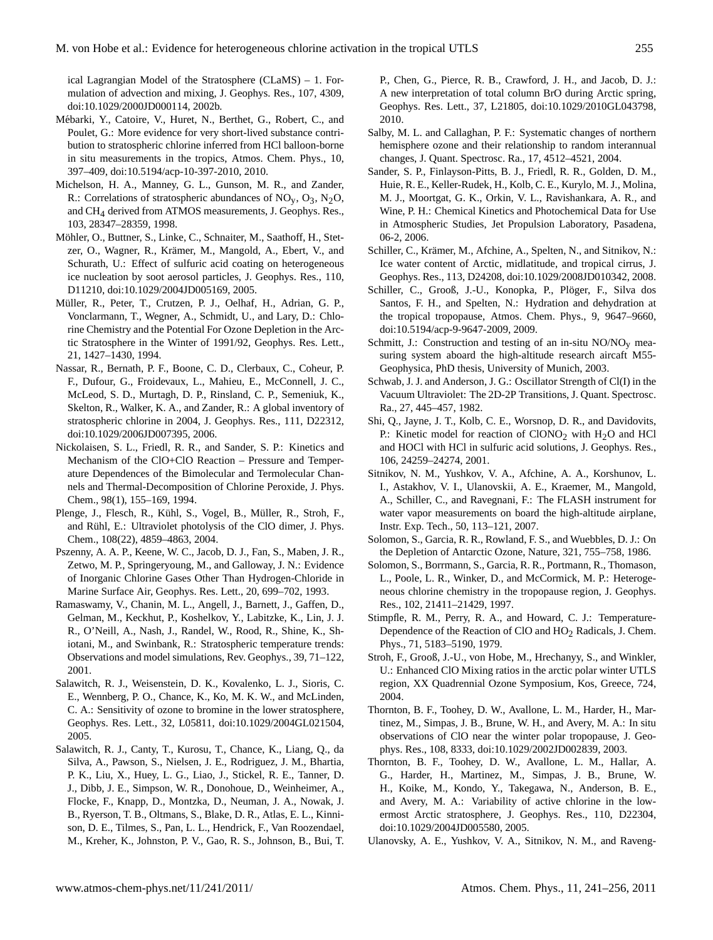ical Lagrangian Model of the Stratosphere (CLaMS) – 1. Formulation of advection and mixing, J. Geophys. Res., 107, 4309, doi:10.1029/2000JD000114, 2002b.

- Mébarki, Y., Catoire, V., Huret, N., Berthet, G., Robert, C., and Poulet, G.: More evidence for very short-lived substance contribution to stratospheric chlorine inferred from HCl balloon-borne in situ measurements in the tropics, Atmos. Chem. Phys., 10, 397–409, doi:10.5194/acp-10-397-2010, 2010.
- Michelson, H. A., Manney, G. L., Gunson, M. R., and Zander, R.: Correlations of stratospheric abundances of  $NO<sub>y</sub>$ ,  $O<sub>3</sub>$ ,  $N<sub>2</sub>O$ , and CH4 derived from ATMOS measurements, J. Geophys. Res., 103, 28347–28359, 1998.
- Möhler, O., Buttner, S., Linke, C., Schnaiter, M., Saathoff, H., Stetzer, O., Wagner, R., Krämer, M., Mangold, A., Ebert, V., and Schurath, U.: Effect of sulfuric acid coating on heterogeneous ice nucleation by soot aerosol particles, J. Geophys. Res., 110, D11210, doi:10.1029/2004JD005169, 2005.
- Müller, R., Peter, T., Crutzen, P. J., Oelhaf, H., Adrian, G. P., Vonclarmann, T., Wegner, A., Schmidt, U., and Lary, D.: Chlorine Chemistry and the Potential For Ozone Depletion in the Arctic Stratosphere in the Winter of 1991/92, Geophys. Res. Lett., 21, 1427–1430, 1994.
- Nassar, R., Bernath, P. F., Boone, C. D., Clerbaux, C., Coheur, P. F., Dufour, G., Froidevaux, L., Mahieu, E., McConnell, J. C., McLeod, S. D., Murtagh, D. P., Rinsland, C. P., Semeniuk, K., Skelton, R., Walker, K. A., and Zander, R.: A global inventory of stratospheric chlorine in 2004, J. Geophys. Res., 111, D22312, doi:10.1029/2006JD007395, 2006.
- Nickolaisen, S. L., Friedl, R. R., and Sander, S. P.: Kinetics and Mechanism of the ClO+ClO Reaction – Pressure and Temperature Dependences of the Bimolecular and Termolecular Channels and Thermal-Decomposition of Chlorine Peroxide, J. Phys. Chem., 98(1), 155–169, 1994.
- Plenge, J., Flesch, R., Kühl, S., Vogel, B., Müller, R., Stroh, F., and Rühl, E.: Ultraviolet photolysis of the ClO dimer, J. Phys. Chem., 108(22), 4859–4863, 2004.
- Pszenny, A. A. P., Keene, W. C., Jacob, D. J., Fan, S., Maben, J. R., Zetwo, M. P., Springeryoung, M., and Galloway, J. N.: Evidence of Inorganic Chlorine Gases Other Than Hydrogen-Chloride in Marine Surface Air, Geophys. Res. Lett., 20, 699–702, 1993.
- Ramaswamy, V., Chanin, M. L., Angell, J., Barnett, J., Gaffen, D., Gelman, M., Keckhut, P., Koshelkov, Y., Labitzke, K., Lin, J. J. R., O'Neill, A., Nash, J., Randel, W., Rood, R., Shine, K., Shiotani, M., and Swinbank, R.: Stratospheric temperature trends: Observations and model simulations, Rev. Geophys., 39, 71–122, 2001.
- Salawitch, R. J., Weisenstein, D. K., Kovalenko, L. J., Sioris, C. E., Wennberg, P. O., Chance, K., Ko, M. K. W., and McLinden, C. A.: Sensitivity of ozone to bromine in the lower stratosphere, Geophys. Res. Lett., 32, L05811, doi:10.1029/2004GL021504, 2005.
- Salawitch, R. J., Canty, T., Kurosu, T., Chance, K., Liang, Q., da Silva, A., Pawson, S., Nielsen, J. E., Rodriguez, J. M., Bhartia, P. K., Liu, X., Huey, L. G., Liao, J., Stickel, R. E., Tanner, D. J., Dibb, J. E., Simpson, W. R., Donohoue, D., Weinheimer, A., Flocke, F., Knapp, D., Montzka, D., Neuman, J. A., Nowak, J. B., Ryerson, T. B., Oltmans, S., Blake, D. R., Atlas, E. L., Kinnison, D. E., Tilmes, S., Pan, L. L., Hendrick, F., Van Roozendael, M., Kreher, K., Johnston, P. V., Gao, R. S., Johnson, B., Bui, T.

P., Chen, G., Pierce, R. B., Crawford, J. H., and Jacob, D. J.: A new interpretation of total column BrO during Arctic spring, Geophys. Res. Lett., 37, L21805, doi:10.1029/2010GL043798, 2010.

- Salby, M. L. and Callaghan, P. F.: Systematic changes of northern hemisphere ozone and their relationship to random interannual changes, J. Quant. Spectrosc. Ra., 17, 4512–4521, 2004.
- Sander, S. P., Finlayson-Pitts, B. J., Friedl, R. R., Golden, D. M., Huie, R. E., Keller-Rudek, H., Kolb, C. E., Kurylo, M. J., Molina, M. J., Moortgat, G. K., Orkin, V. L., Ravishankara, A. R., and Wine, P. H.: Chemical Kinetics and Photochemical Data for Use in Atmospheric Studies, Jet Propulsion Laboratory, Pasadena, 06-2, 2006.
- Schiller, C., Krämer, M., Afchine, A., Spelten, N., and Sitnikov, N.: Ice water content of Arctic, midlatitude, and tropical cirrus, J. Geophys. Res., 113, D24208, doi:10.1029/2008JD010342, 2008.
- Schiller, C., Grooß, J.-U., Konopka, P., Plöger, F., Silva dos Santos, F. H., and Spelten, N.: Hydration and dehydration at the tropical tropopause, Atmos. Chem. Phys., 9, 9647–9660, doi:10.5194/acp-9-9647-2009, 2009.
- Schmitt, J.: Construction and testing of an in-situ  $NO/NO<sub>y</sub>$  measuring system aboard the high-altitude research aircaft M55- Geophysica, PhD thesis, University of Munich, 2003.
- Schwab, J. J. and Anderson, J. G.: Oscillator Strength of Cl(I) in the Vacuum Ultraviolet: The 2D-2P Transitions, J. Quant. Spectrosc. Ra., 27, 445–457, 1982.
- Shi, Q., Jayne, J. T., Kolb, C. E., Worsnop, D. R., and Davidovits, P.: Kinetic model for reaction of  $CIONO<sub>2</sub>$  with  $H<sub>2</sub>O$  and HCl and HOCl with HCl in sulfuric acid solutions, J. Geophys. Res., 106, 24259–24274, 2001.
- Sitnikov, N. M., Yushkov, V. A., Afchine, A. A., Korshunov, L. I., Astakhov, V. I., Ulanovskii, A. E., Kraemer, M., Mangold, A., Schiller, C., and Ravegnani, F.: The FLASH instrument for water vapor measurements on board the high-altitude airplane, Instr. Exp. Tech., 50, 113–121, 2007.
- Solomon, S., Garcia, R. R., Rowland, F. S., and Wuebbles, D. J.: On the Depletion of Antarctic Ozone, Nature, 321, 755–758, 1986.
- Solomon, S., Borrmann, S., Garcia, R. R., Portmann, R., Thomason, L., Poole, L. R., Winker, D., and McCormick, M. P.: Heterogeneous chlorine chemistry in the tropopause region, J. Geophys. Res., 102, 21411–21429, 1997.
- Stimpfle, R. M., Perry, R. A., and Howard, C. J.: Temperature-Dependence of the Reaction of ClO and HO<sub>2</sub> Radicals, J. Chem. Phys., 71, 5183–5190, 1979.
- Stroh, F., Grooß, J.-U., von Hobe, M., Hrechanyy, S., and Winkler, U.: Enhanced ClO Mixing ratios in the arctic polar winter UTLS region, XX Quadrennial Ozone Symposium, Kos, Greece, 724, 2004.
- Thornton, B. F., Toohey, D. W., Avallone, L. M., Harder, H., Martinez, M., Simpas, J. B., Brune, W. H., and Avery, M. A.: In situ observations of ClO near the winter polar tropopause, J. Geophys. Res., 108, 8333, doi:10.1029/2002JD002839, 2003.
- Thornton, B. F., Toohey, D. W., Avallone, L. M., Hallar, A. G., Harder, H., Martinez, M., Simpas, J. B., Brune, W. H., Koike, M., Kondo, Y., Takegawa, N., Anderson, B. E., and Avery, M. A.: Variability of active chlorine in the lowermost Arctic stratosphere, J. Geophys. Res., 110, D22304, doi:10.1029/2004JD005580, 2005.
- Ulanovsky, A. E., Yushkov, V. A., Sitnikov, N. M., and Raveng-